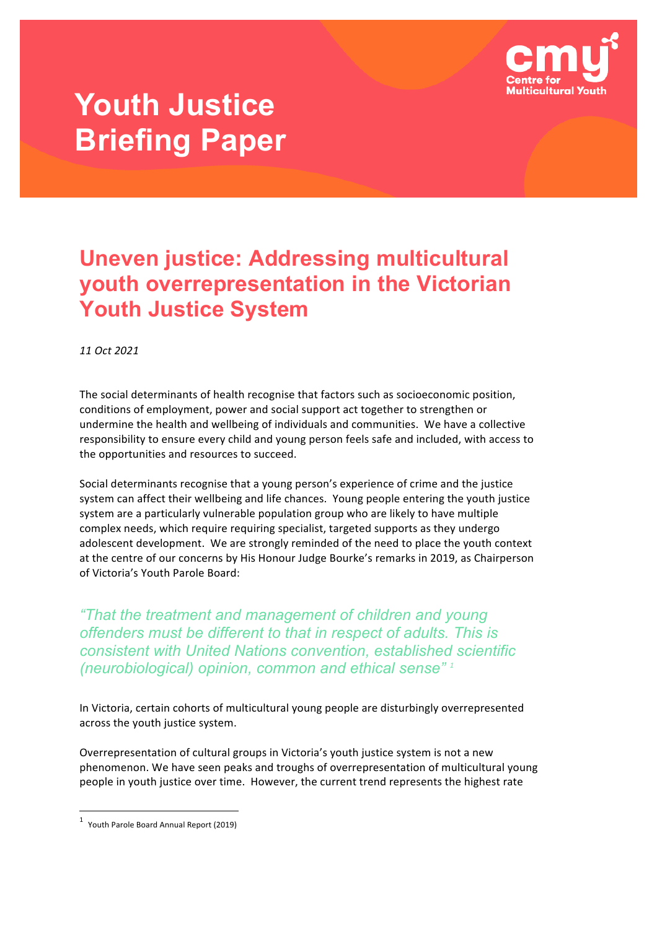

# **Youth Justice Briefing Paper**

### **Uneven justice: Addressing multicultural youth overrepresentation in the Victorian Youth Justice System**

*11 Oct 2021*

The social determinants of health recognise that factors such as socioeconomic position, conditions of employment, power and social support act together to strengthen or undermine the health and wellbeing of individuals and communities. We have a collective responsibility to ensure every child and young person feels safe and included, with access to the opportunities and resources to succeed.

Social determinants recognise that a young person's experience of crime and the justice system can affect their wellbeing and life chances. Young people entering the youth justice system are a particularly vulnerable population group who are likely to have multiple complex needs, which require requiring specialist, targeted supports as they undergo adolescent development. We are strongly reminded of the need to place the youth context at the centre of our concerns by His Honour Judge Bourke's remarks in 2019, as Chairperson of Victoria's Youth Parole Board:

*"That the treatment and management of children and young offenders must be different to that in respect of adults. This is consistent with United Nations convention, established scientific (neurobiological) opinion, common and ethical sense" <sup>1</sup>*

In Victoria, certain cohorts of multicultural young people are disturbingly overrepresented across the youth justice system.

Overrepresentation of cultural groups in Victoria's youth justice system is not a new phenomenon. We have seen peaks and troughs of overrepresentation of multicultural young people in youth justice over time. However, the current trend represents the highest rate

 $1$  Youth Parole Board Annual Report (2019)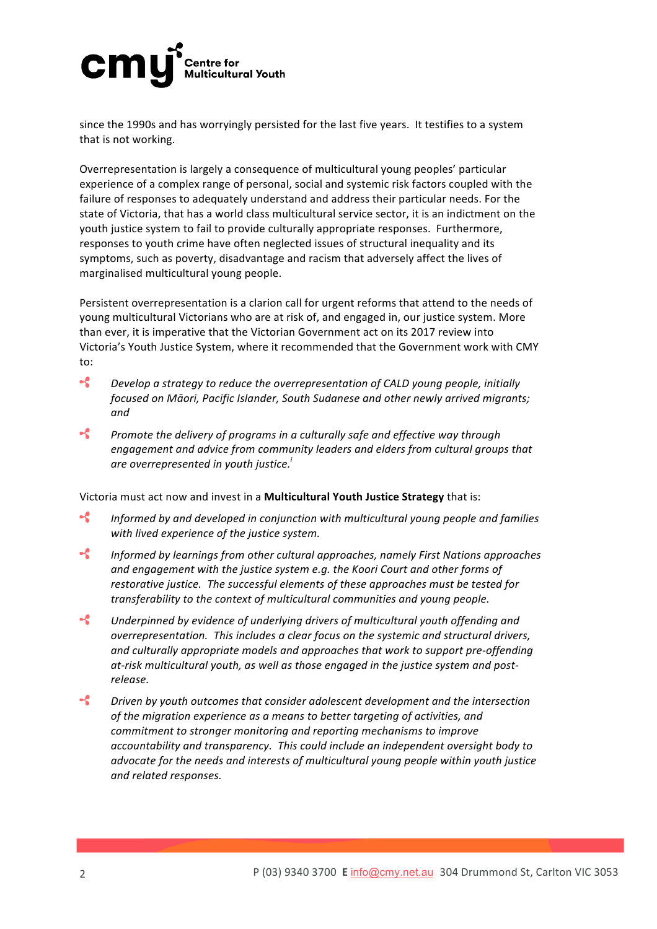### cm **Centre for Multicultural Youth**

since the 1990s and has worryingly persisted for the last five years. It testifies to a system that is not working.

Overrepresentation is largely a consequence of multicultural young peoples' particular experience of a complex range of personal, social and systemic risk factors coupled with the failure of responses to adequately understand and address their particular needs. For the state of Victoria, that has a world class multicultural service sector, it is an indictment on the youth justice system to fail to provide culturally appropriate responses. Furthermore, responses to youth crime have often neglected issues of structural inequality and its symptoms, such as poverty, disadvantage and racism that adversely affect the lives of marginalised multicultural young people.

Persistent overrepresentation is a clarion call for urgent reforms that attend to the needs of young multicultural Victorians who are at risk of, and engaged in, our justice system. More than ever, it is imperative that the Victorian Government act on its 2017 review into Victoria's Youth Justice System, where it recommended that the Government work with CMY to:

- $\mathcal{L}$ *Develop* a strategy to reduce the overrepresentation of CALD young people, initially *focused on Māori, Pacific Islander, South Sudanese and other newly arrived migrants; and*
- $\boldsymbol{\mathcal{L}}$ *Promote the delivery of programs in a culturally safe and effective way through* engagement and advice from community leaders and elders from cultural groups that *are overrepresented in youth justice.*<sup>*i*</sup>

Victoria must act now and invest in a **Multicultural Youth Justice Strategy** that is:

- $\mathcal{L}$ *Informed by and developed in conjunction with multicultural young people and families* with lived experience of the justice system.
- $\mathcal{L}$ *Informed by learnings from other cultural approaches, namely First Nations approaches* and engagement with the justice system e.g. the Koori Court and other forms of restorative justice. The successful elements of these approaches must be tested for *transferability* to the context of multicultural communities and young people.
- $\mathcal{L}$ Underpinned by evidence of underlying drivers of multicultural youth offending and *overrepresentation. This includes a clear focus on the systemic and structural drivers,* and culturally appropriate models and approaches that work to support pre-offending at-risk multicultural youth, as well as those engaged in the justice system and post*release.*
- $\boldsymbol{\cdot}$ *Driven* by youth outcomes that consider adolescent development and the intersection of the migration experience as a means to better targeting of activities, and *commitment to stronger monitoring and reporting mechanisms to improve accountability* and *transparency.* This could include an independent oversight body to *advocate for the needs and interests of multicultural young people within youth justice and related responses.*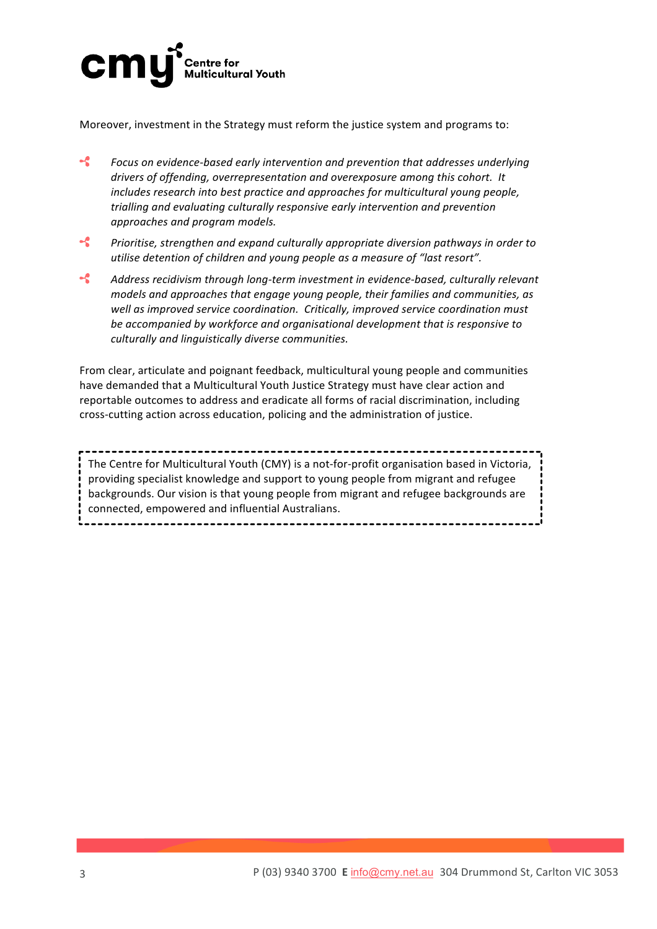

Moreover, investment in the Strategy must reform the justice system and programs to:

- $\boldsymbol{\cdot}$ *Focus* on evidence-based early intervention and prevention that addresses underlying drivers of offending, overrepresentation and overexposure among this cohort. It *includes research into best practice and approaches for multicultural young people, trialling* and evaluating culturally responsive early intervention and prevention *approaches and program models.*
- $\boldsymbol{\mathcal{L}}$ *Prioritise, strengthen and expand culturally appropriate diversion pathways in order to utilise detention of children and young people as a measure of "last resort".*
- $\mathcal{L}$ Address recidivism through long-term investment in evidence-based, culturally relevant *models and approaches that engage young people, their families and communities, as* well as improved service coordination. Critically, improved service coordination must be accompanied by workforce and organisational development that is responsive to *culturally and linguistically diverse communities.*

From clear, articulate and poignant feedback, multicultural young people and communities have demanded that a Multicultural Youth Justice Strategy must have clear action and reportable outcomes to address and eradicate all forms of racial discrimination, including cross-cutting action across education, policing and the administration of justice.

The Centre for Multicultural Youth (CMY) is a not-for-profit organisation based in Victoria, providing specialist knowledge and support to young people from migrant and refugee backgrounds. Our vision is that young people from migrant and refugee backgrounds are connected, empowered and influential Australians.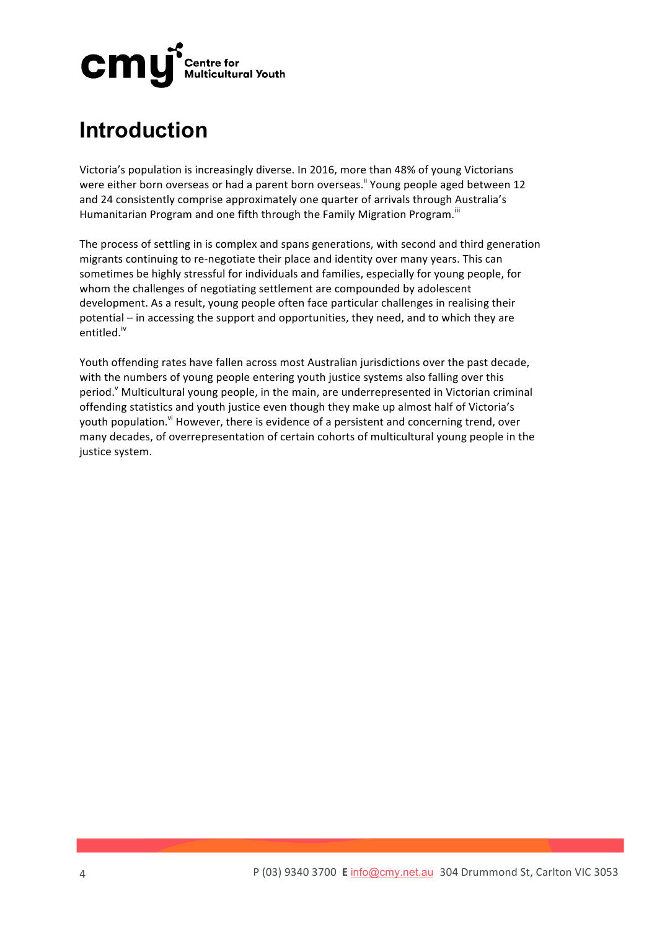

### **Introduction**

Victoria's population is increasingly diverse. In 2016, more than 48% of young Victorians were either born overseas or had a parent born overseas.<sup>ii</sup> Young people aged between 12 and 24 consistently comprise approximately one quarter of arrivals through Australia's Humanitarian Program and one fifth through the Family Migration Program.<sup>iii</sup>

The process of settling in is complex and spans generations, with second and third generation migrants continuing to re-negotiate their place and identity over many years. This can sometimes be highly stressful for individuals and families, especially for young people, for whom the challenges of negotiating settlement are compounded by adolescent development. As a result, young people often face particular challenges in realising their potential – in accessing the support and opportunities, they need, and to which they are entitled.iv

Youth offending rates have fallen across most Australian jurisdictions over the past decade, with the numbers of young people entering youth justice systems also falling over this period.<sup>Y</sup> Multicultural young people, in the main, are underrepresented in Victorian criminal offending statistics and youth justice even though they make up almost half of Victoria's youth population.<sup>vi</sup> However, there is evidence of a persistent and concerning trend, over many decades, of overrepresentation of certain cohorts of multicultural young people in the justice system.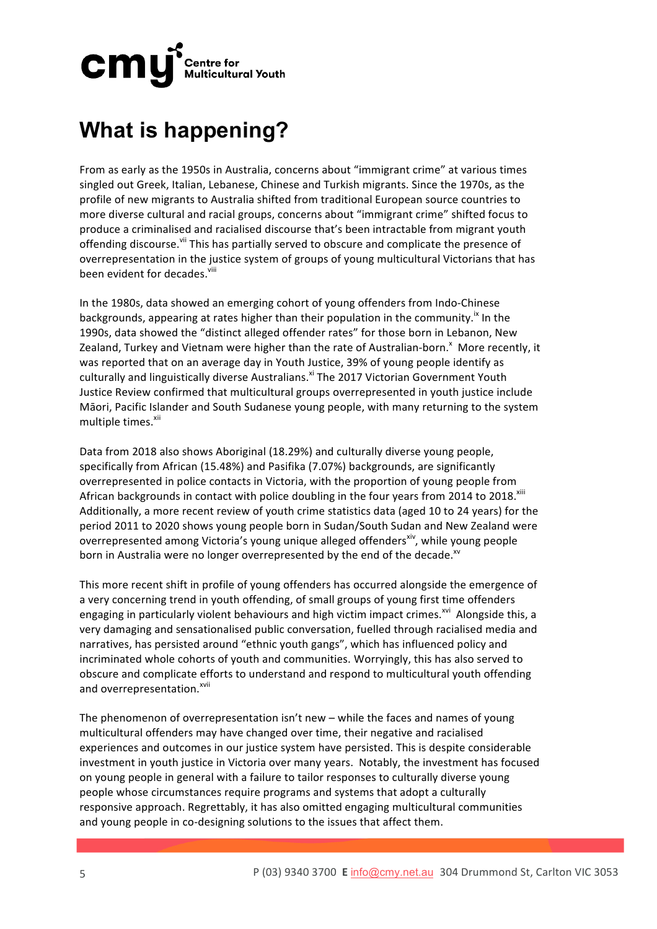

## **What is happening?**

From as early as the 1950s in Australia, concerns about "immigrant crime" at various times singled out Greek, Italian, Lebanese, Chinese and Turkish migrants. Since the 1970s, as the profile of new migrants to Australia shifted from traditional European source countries to more diverse cultural and racial groups, concerns about "immigrant crime" shifted focus to produce a criminalised and racialised discourse that's been intractable from migrant youth offending discourse. Vil This has partially served to obscure and complicate the presence of overrepresentation in the justice system of groups of young multicultural Victorians that has been evident for decades.<sup>viii</sup>

In the 1980s, data showed an emerging cohort of young offenders from Indo-Chinese backgrounds, appearing at rates higher than their population in the community.<sup>ix</sup> In the 1990s, data showed the "distinct alleged offender rates" for those born in Lebanon, New Zealand, Turkey and Vietnam were higher than the rate of Australian-born.<sup>x</sup> More recently, it was reported that on an average day in Youth Justice, 39% of young people identify as culturally and linguistically diverse Australians.<sup>xi</sup> The 2017 Victorian Government Youth Justice Review confirmed that multicultural groups overrepresented in youth justice include Māori, Pacific Islander and South Sudanese young people, with many returning to the system multiple times.<sup>xii</sup>

Data from 2018 also shows Aboriginal (18.29%) and culturally diverse young people, specifically from African (15.48%) and Pasifika (7.07%) backgrounds, are significantly overrepresented in police contacts in Victoria, with the proportion of young people from African backgrounds in contact with police doubling in the four years from 2014 to 2018.<sup>xiii</sup> Additionally, a more recent review of youth crime statistics data (aged 10 to 24 years) for the period 2011 to 2020 shows young people born in Sudan/South Sudan and New Zealand were overrepresented among Victoria's young unique alleged offenders<sup>xiv</sup>, while young people born in Australia were no longer overrepresented by the end of the decade.<sup>xv</sup>

This more recent shift in profile of young offenders has occurred alongside the emergence of a very concerning trend in youth offending, of small groups of young first time offenders engaging in particularly violent behaviours and high victim impact crimes.<sup>xvi</sup> Alongside this, a very damaging and sensationalised public conversation, fuelled through racialised media and narratives, has persisted around "ethnic youth gangs", which has influenced policy and incriminated whole cohorts of youth and communities. Worryingly, this has also served to obscure and complicate efforts to understand and respond to multicultural youth offending and overrepresentation.<sup>xvii</sup>

The phenomenon of overrepresentation isn't new – while the faces and names of young multicultural offenders may have changed over time, their negative and racialised experiences and outcomes in our justice system have persisted. This is despite considerable investment in youth justice in Victoria over many years. Notably, the investment has focused on young people in general with a failure to tailor responses to culturally diverse young people whose circumstances require programs and systems that adopt a culturally responsive approach. Regrettably, it has also omitted engaging multicultural communities and young people in co-designing solutions to the issues that affect them.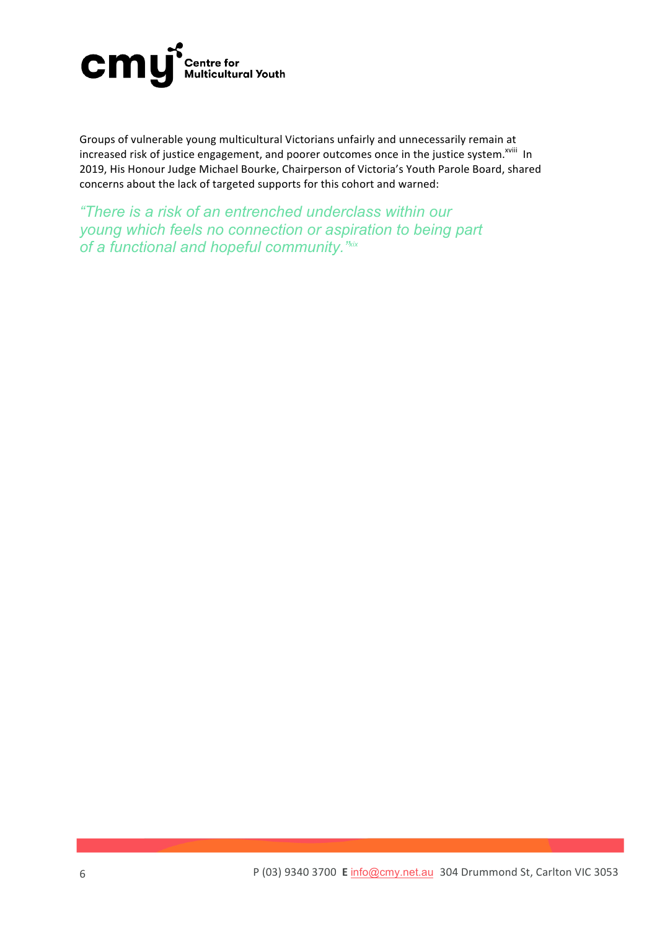

Groups of vulnerable young multicultural Victorians unfairly and unnecessarily remain at increased risk of justice engagement, and poorer outcomes once in the justice system.<sup>xviii</sup> In 2019, His Honour Judge Michael Bourke, Chairperson of Victoria's Youth Parole Board, shared concerns about the lack of targeted supports for this cohort and warned:

*"There is a risk of an entrenched underclass within our young which feels no connection or aspiration to being part of a functional and hopeful community."xix*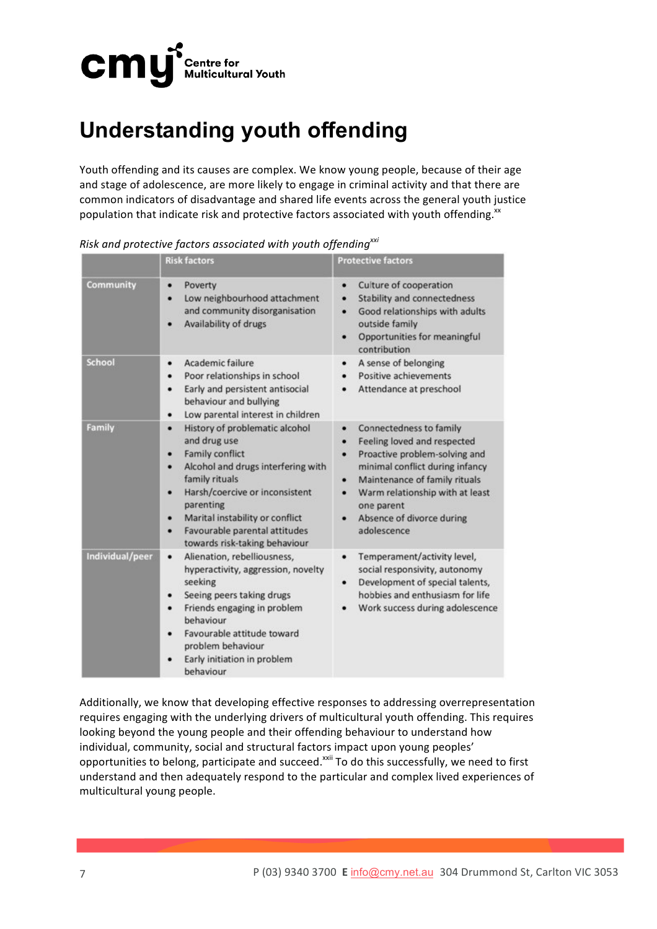

## **Understanding youth offending**

Youth offending and its causes are complex. We know young people, because of their age and stage of adolescence, are more likely to engage in criminal activity and that there are common indicators of disadvantage and shared life events across the general youth justice population that indicate risk and protective factors associated with youth offending.<sup>xx</sup>

|                 | <b>Risk factors</b>                                                                                                                                                                                                                                                                                                | <b>Protective factors</b>                                                                                                                                                                                                                                                         |
|-----------------|--------------------------------------------------------------------------------------------------------------------------------------------------------------------------------------------------------------------------------------------------------------------------------------------------------------------|-----------------------------------------------------------------------------------------------------------------------------------------------------------------------------------------------------------------------------------------------------------------------------------|
| Community       | Poverty<br>٠<br>Low neighbourhood attachment<br>٠<br>and community disorganisation<br>Availability of drugs                                                                                                                                                                                                        | Culture of cooperation<br>٠<br>Stability and connectedness<br>٠<br>Good relationships with adults<br>٠<br>outside family<br>Opportunities for meaningful<br>٠<br>contribution                                                                                                     |
| <b>School</b>   | Academic failure<br>٠<br>Poor relationships in school<br>Early and persistent antisocial<br>٠<br>behaviour and bullying<br>Low parental interest in children<br>٠                                                                                                                                                  | A sense of belonging<br>Positive achievements<br>Attendance at preschool                                                                                                                                                                                                          |
| Family          | History of problematic alcohol<br>٠<br>and drug use<br><b>Family conflict</b><br>٠<br>Alcohol and drugs interfering with<br>٠<br>family rituals<br>Harsh/coercive or inconsistent<br>٠<br>parenting<br>Marital instability or conflict<br>٠<br>Favourable parental attitudes<br>٠<br>towards risk-taking behaviour | Connectedness to family<br>٠<br>Feeling loved and respected<br>٠<br>Proactive problem-solving and<br>٠<br>minimal conflict during infancy<br>Maintenance of family rituals<br>٠<br>Warm relationship with at least<br>٠<br>one parent<br>Absence of divorce during<br>adolescence |
| Individual/peer | Alienation, rebelliousness,<br>٠<br>hyperactivity, aggression, novelty<br>seeking<br>Seeing peers taking drugs<br>٠<br>Friends engaging in problem<br>٠<br>behaviour<br>Favourable attitude toward<br>problem behaviour<br>Early initiation in problem<br>behaviour                                                | Temperament/activity level,<br>٠<br>social responsivity, autonomy<br>Development of special talents,<br>٠<br>hobbies and enthusiasm for life<br>Work success during adolescence                                                                                                   |

*Risk* and protective factors associated with youth offending<sup>xxi</sup>

Additionally, we know that developing effective responses to addressing overrepresentation requires engaging with the underlying drivers of multicultural youth offending. This requires looking beyond the young people and their offending behaviour to understand how individual, community, social and structural factors impact upon young peoples' opportunities to belong, participate and succeed.<sup>xxii</sup> To do this successfully, we need to first understand and then adequately respond to the particular and complex lived experiences of multicultural young people.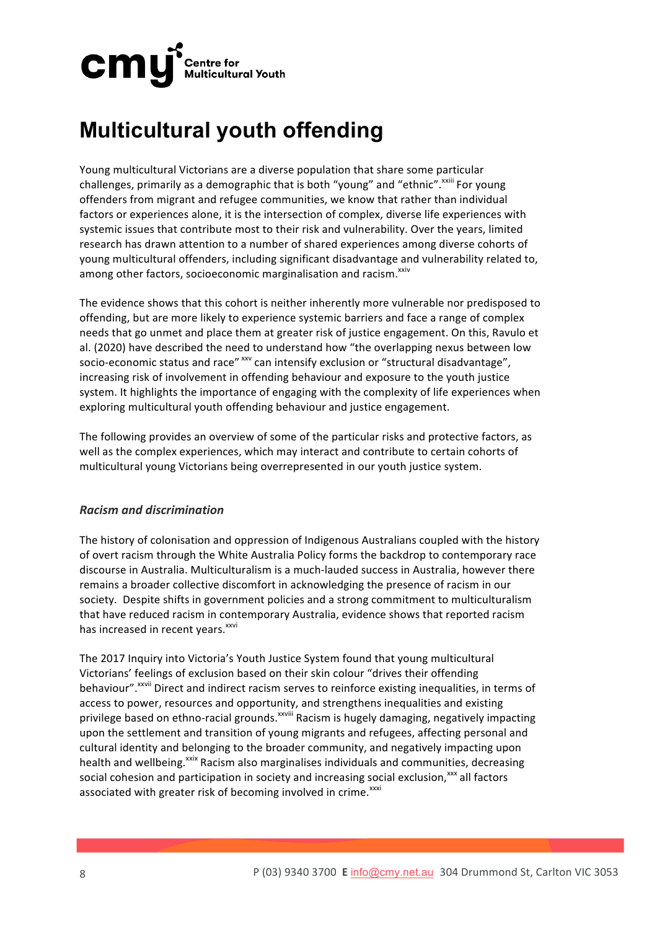

### **Multicultural youth offending**

Young multicultural Victorians are a diverse population that share some particular challenges, primarily as a demographic that is both "young" and "ethnic".<sup>xxiii</sup> For young offenders from migrant and refugee communities, we know that rather than individual factors or experiences alone, it is the intersection of complex, diverse life experiences with systemic issues that contribute most to their risk and vulnerability. Over the years, limited research has drawn attention to a number of shared experiences among diverse cohorts of young multicultural offenders, including significant disadvantage and vulnerability related to, among other factors, socioeconomic marginalisation and racism.<sup>xxiv</sup>

The evidence shows that this cohort is neither inherently more vulnerable nor predisposed to offending, but are more likely to experience systemic barriers and face a range of complex needs that go unmet and place them at greater risk of justice engagement. On this, Ravulo et al. (2020) have described the need to understand how "the overlapping nexus between low socio-economic status and race" xxv can intensify exclusion or "structural disadvantage", increasing risk of involvement in offending behaviour and exposure to the youth justice system. It highlights the importance of engaging with the complexity of life experiences when exploring multicultural youth offending behaviour and justice engagement.

The following provides an overview of some of the particular risks and protective factors, as well as the complex experiences, which may interact and contribute to certain cohorts of multicultural young Victorians being overrepresented in our youth justice system.

### *Racism and discrimination*

The history of colonisation and oppression of Indigenous Australians coupled with the history of overt racism through the White Australia Policy forms the backdrop to contemporary race discourse in Australia. Multiculturalism is a much-lauded success in Australia, however there remains a broader collective discomfort in acknowledging the presence of racism in our society. Despite shifts in government policies and a strong commitment to multiculturalism that have reduced racism in contemporary Australia, evidence shows that reported racism has increased in recent vears.<sup>xxvi</sup>

The 2017 Inquiry into Victoria's Youth Justice System found that young multicultural Victorians' feelings of exclusion based on their skin colour "drives their offending behaviour".<sup>xxvii</sup> Direct and indirect racism serves to reinforce existing inequalities, in terms of access to power, resources and opportunity, and strengthens inequalities and existing privilege based on ethno-racial grounds.<sup>xxviii</sup> Racism is hugely damaging, negatively impacting upon the settlement and transition of young migrants and refugees, affecting personal and cultural identity and belonging to the broader community, and negatively impacting upon health and wellbeing.<sup>xxix</sup> Racism also marginalises individuals and communities, decreasing social cohesion and participation in society and increasing social exclusion,<sup>xxx</sup> all factors associated with greater risk of becoming involved in crime.<sup>xxxi</sup>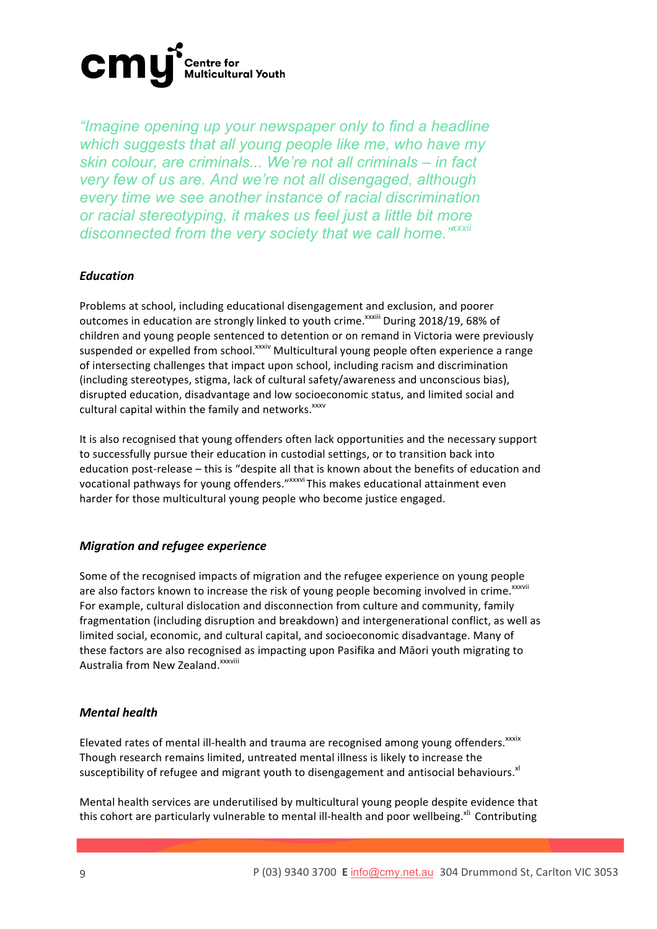

*"Imagine opening up your newspaper only to find a headline which suggests that all young people like me, who have my skin colour, are criminals... We're not all criminals – in fact very few of us are. And we're not all disengaged, although every time we see another instance of racial discrimination or racial stereotyping, it makes us feel just a little bit more disconnected from the very society that we call home."xxxii*

#### *Education*

Problems at school, including educational disengagement and exclusion, and poorer outcomes in education are strongly linked to youth crime.<sup>xxxiii</sup> During 2018/19, 68% of children and young people sentenced to detention or on remand in Victoria were previously suspended or expelled from school.<sup>xxxiv</sup> Multicultural young people often experience a range of intersecting challenges that impact upon school, including racism and discrimination (including stereotypes, stigma, lack of cultural safety/awareness and unconscious bias), disrupted education, disadvantage and low socioeconomic status, and limited social and cultural capital within the family and networks.<sup>xxxv</sup>

It is also recognised that young offenders often lack opportunities and the necessary support to successfully pursue their education in custodial settings, or to transition back into education post-release - this is "despite all that is known about the benefits of education and vocational pathways for young offenders." xxxvi This makes educational attainment even harder for those multicultural young people who become justice engaged.

### *Migration and refugee experience*

Some of the recognised impacts of migration and the refugee experience on young people are also factors known to increase the risk of young people becoming involved in crime.<sup>xxxvii</sup> For example, cultural dislocation and disconnection from culture and community, family fragmentation (including disruption and breakdown) and intergenerational conflict, as well as limited social, economic, and cultural capital, and socioeconomic disadvantage. Many of these factors are also recognised as impacting upon Pasifika and Māori youth migrating to Australia from New Zealand.<sup>xxxviii</sup>

#### *Mental health*

Elevated rates of mental ill-health and trauma are recognised among young offenders. XXXIX Though research remains limited, untreated mental illness is likely to increase the susceptibility of refugee and migrant youth to disengagement and antisocial behaviours.<sup>xl</sup>

Mental health services are underutilised by multicultural young people despite evidence that this cohort are particularly vulnerable to mental ill-health and poor wellbeing.<sup>xli</sup> Contributing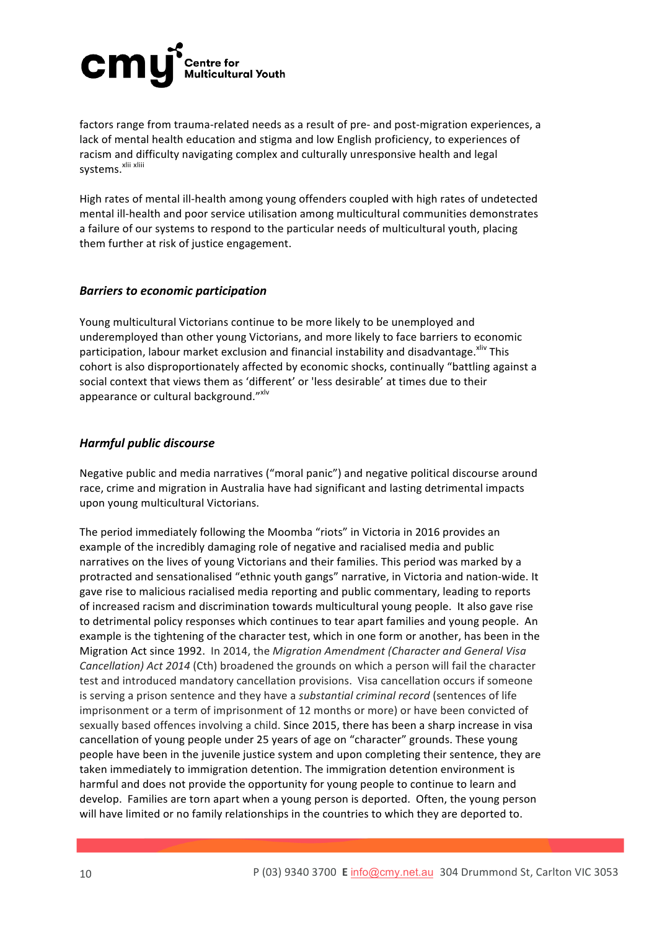

factors range from trauma-related needs as a result of pre- and post-migration experiences, a lack of mental health education and stigma and low English proficiency, to experiences of racism and difficulty navigating complex and culturally unresponsive health and legal systems.<sup>xlii xliii</sup>

High rates of mental ill-health among young offenders coupled with high rates of undetected mental ill-health and poor service utilisation among multicultural communities demonstrates a failure of our systems to respond to the particular needs of multicultural youth, placing them further at risk of justice engagement.

#### **Barriers to economic participation**

Young multicultural Victorians continue to be more likely to be unemployed and underemployed than other young Victorians, and more likely to face barriers to economic participation, labour market exclusion and financial instability and disadvantage. Xilv This cohort is also disproportionately affected by economic shocks, continually "battling against a social context that views them as 'different' or 'less desirable' at times due to their appearance or cultural background."xlv

#### *Harmful public discourse*

Negative public and media narratives ("moral panic") and negative political discourse around race, crime and migration in Australia have had significant and lasting detrimental impacts upon young multicultural Victorians.

The period immediately following the Moomba "riots" in Victoria in 2016 provides an example of the incredibly damaging role of negative and racialised media and public narratives on the lives of young Victorians and their families. This period was marked by a protracted and sensationalised "ethnic youth gangs" narrative, in Victoria and nation-wide. It gave rise to malicious racialised media reporting and public commentary, leading to reports of increased racism and discrimination towards multicultural young people. It also gave rise to detrimental policy responses which continues to tear apart families and young people. An example is the tightening of the character test, which in one form or another, has been in the Migration Act since 1992. In 2014, the *Migration Amendment (Character and General Visa Cancellation) Act 2014* (Cth) broadened the grounds on which a person will fail the character test and introduced mandatory cancellation provisions. Visa cancellation occurs if someone is serving a prison sentence and they have a *substantial criminal record* (sentences of life imprisonment or a term of imprisonment of 12 months or more) or have been convicted of sexually based offences involving a child. Since 2015, there has been a sharp increase in visa cancellation of young people under 25 years of age on "character" grounds. These young people have been in the juvenile justice system and upon completing their sentence, they are taken immediately to immigration detention. The immigration detention environment is harmful and does not provide the opportunity for young people to continue to learn and develop. Families are torn apart when a young person is deported. Often, the young person will have limited or no family relationships in the countries to which they are deported to.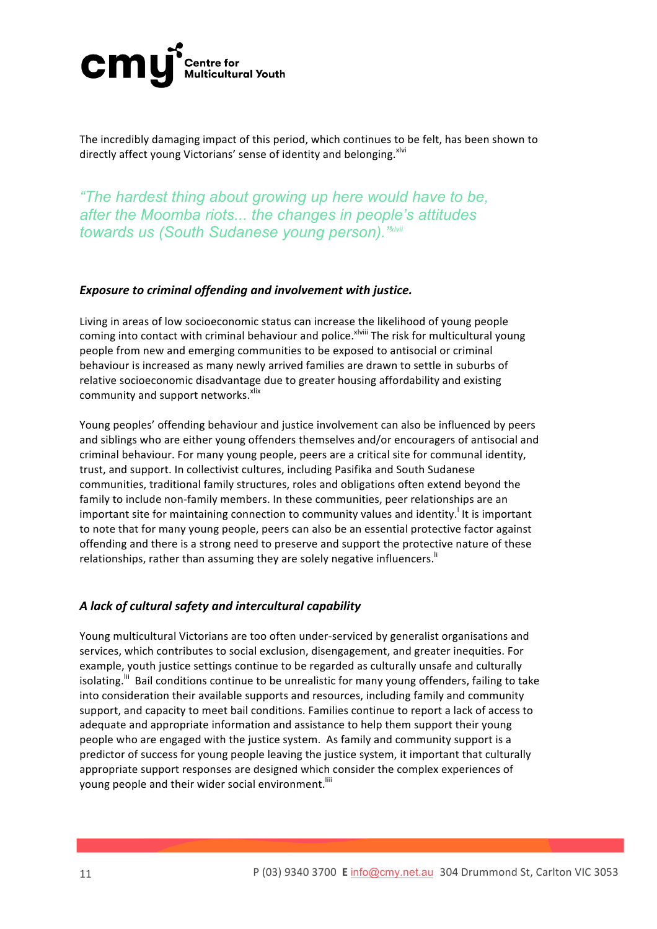

The incredibly damaging impact of this period, which continues to be felt, has been shown to directly affect young Victorians' sense of identity and belonging.<sup>xlvi</sup>

*"The hardest thing about growing up here would have to be, after the Moomba riots... the changes in people's attitudes towards us (South Sudanese young person)."xlvii*

#### *Exposure to criminal offending and involvement with justice.*

Living in areas of low socioeconomic status can increase the likelihood of young people coming into contact with criminal behaviour and police.<sup>xlviii</sup> The risk for multicultural young people from new and emerging communities to be exposed to antisocial or criminal behaviour is increased as many newly arrived families are drawn to settle in suburbs of relative socioeconomic disadvantage due to greater housing affordability and existing community and support networks. xlix

Young peoples' offending behaviour and justice involvement can also be influenced by peers and siblings who are either young offenders themselves and/or encouragers of antisocial and criminal behaviour. For many young people, peers are a critical site for communal identity, trust, and support. In collectivist cultures, including Pasifika and South Sudanese communities, traditional family structures, roles and obligations often extend beyond the family to include non-family members. In these communities, peer relationships are an important site for maintaining connection to community values and identity.<sup>1</sup> It is important to note that for many young people, peers can also be an essential protective factor against offending and there is a strong need to preserve and support the protective nature of these relationships, rather than assuming they are solely negative influencers."

### A lack of cultural safety and intercultural capability

Young multicultural Victorians are too often under-serviced by generalist organisations and services, which contributes to social exclusion, disengagement, and greater inequities. For example, youth justice settings continue to be regarded as culturally unsafe and culturally isolating.<sup>Iii</sup> Bail conditions continue to be unrealistic for many young offenders, failing to take into consideration their available supports and resources, including family and community support, and capacity to meet bail conditions. Families continue to report a lack of access to adequate and appropriate information and assistance to help them support their young people who are engaged with the justice system. As family and community support is a predictor of success for young people leaving the justice system, it important that culturally appropriate support responses are designed which consider the complex experiences of young people and their wider social environment.<sup>Iiii</sup>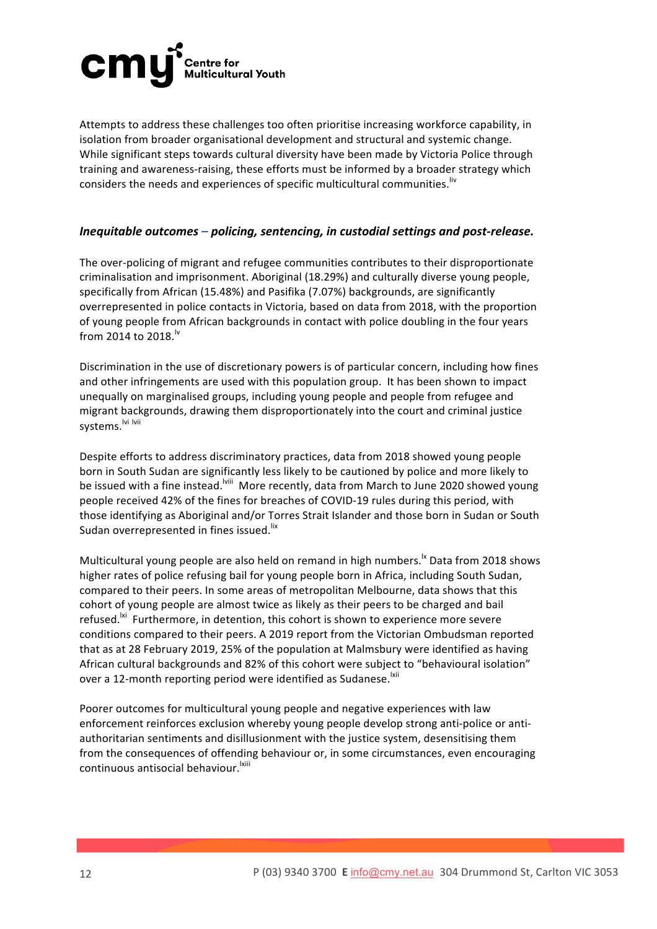

Attempts to address these challenges too often prioritise increasing workforce capability, in isolation from broader organisational development and structural and systemic change. While significant steps towards cultural diversity have been made by Victoria Police through training and awareness-raising, these efforts must be informed by a broader strategy which considers the needs and experiences of specific multicultural communities.<sup>liv</sup>

#### *Inequitable outcomes – policing, sentencing, in custodial settings and post-release.*

The over-policing of migrant and refugee communities contributes to their disproportionate criminalisation and imprisonment. Aboriginal (18.29%) and culturally diverse young people, specifically from African (15.48%) and Pasifika (7.07%) backgrounds, are significantly overrepresented in police contacts in Victoria, based on data from 2018, with the proportion of young people from African backgrounds in contact with police doubling in the four years from 2014 to 2018.<sup>lv</sup>

Discrimination in the use of discretionary powers is of particular concern, including how fines and other infringements are used with this population group. It has been shown to impact unequally on marginalised groups, including young people and people from refugee and migrant backgrounds, drawing them disproportionately into the court and criminal justice systems.<sup>Ivi Ivii</sup>

Despite efforts to address discriminatory practices, data from 2018 showed young people born in South Sudan are significantly less likely to be cautioned by police and more likely to be issued with a fine instead. Will More recently, data from March to June 2020 showed young people received 42% of the fines for breaches of COVID-19 rules during this period, with those identifying as Aboriginal and/or Torres Strait Islander and those born in Sudan or South Sudan overrepresented in fines issued.<sup>lix</sup>

Multicultural young people are also held on remand in high numbers.<sup>1x</sup> Data from 2018 shows higher rates of police refusing bail for young people born in Africa, including South Sudan, compared to their peers. In some areas of metropolitan Melbourne, data shows that this cohort of young people are almost twice as likely as their peers to be charged and bail refused.<sup>Ixi</sup> Furthermore, in detention, this cohort is shown to experience more severe conditions compared to their peers. A 2019 report from the Victorian Ombudsman reported that as at 28 February 2019, 25% of the population at Malmsbury were identified as having African cultural backgrounds and 82% of this cohort were subject to "behavioural isolation" over a 12-month reporting period were identified as Sudanese.<sup>Ixii</sup>

Poorer outcomes for multicultural young people and negative experiences with law enforcement reinforces exclusion whereby young people develop strong anti-police or antiauthoritarian sentiments and disillusionment with the justice system, desensitising them from the consequences of offending behaviour or, in some circumstances, even encouraging continuous antisocial behaviour.<sup>Ixiii</sup>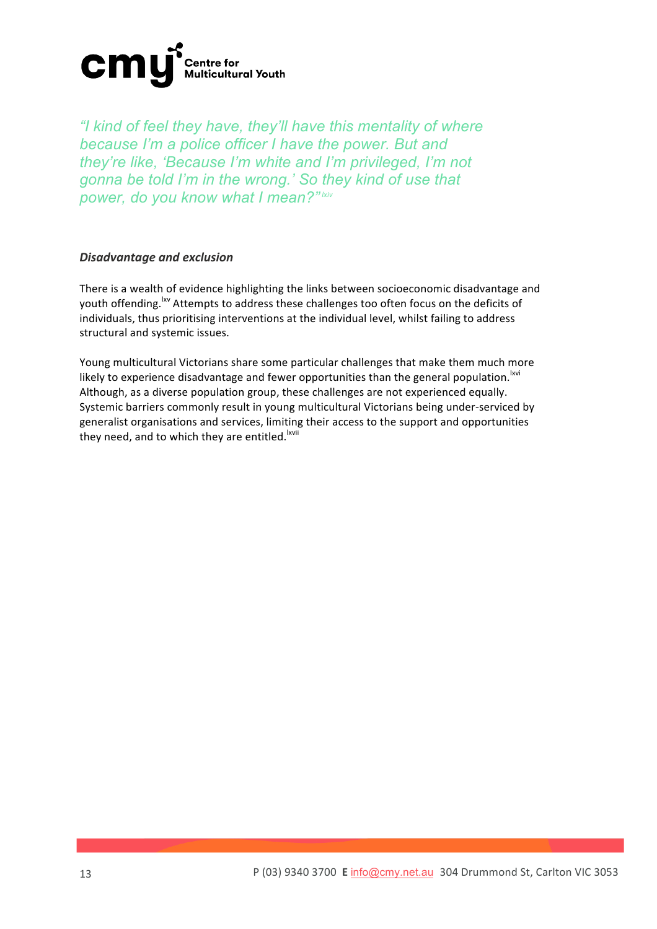

*"I kind of feel they have, they'll have this mentality of where because I'm a police officer I have the power. But and they're like, 'Because I'm white and I'm privileged, I'm not gonna be told I'm in the wrong.' So they kind of use that power, do you know what I mean?" lxiv*

#### *Disadvantage and exclusion*

There is a wealth of evidence highlighting the links between socioeconomic disadvantage and youth offending.<sup>1xv</sup> Attempts to address these challenges too often focus on the deficits of individuals, thus prioritising interventions at the individual level, whilst failing to address structural and systemic issues.

Young multicultural Victorians share some particular challenges that make them much more likely to experience disadvantage and fewer opportunities than the general population.<sup>Ixvi</sup> Although, as a diverse population group, these challenges are not experienced equally. Systemic barriers commonly result in young multicultural Victorians being under-serviced by generalist organisations and services, limiting their access to the support and opportunities they need, and to which they are entitled.<sup>Ixvii</sup>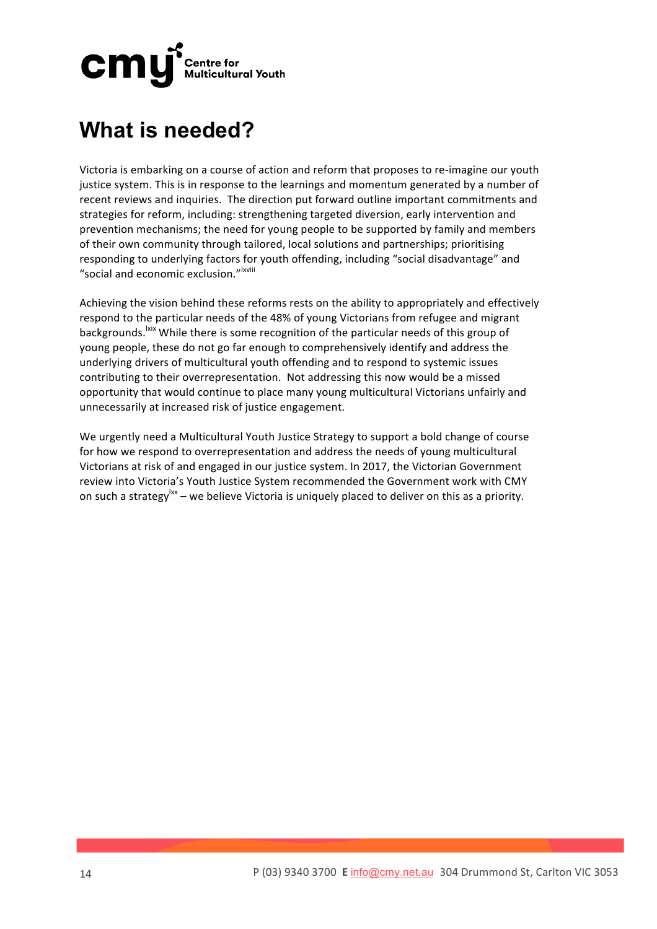

### **What is needed?**

Victoria is embarking on a course of action and reform that proposes to re-imagine our vouth justice system. This is in response to the learnings and momentum generated by a number of recent reviews and inquiries. The direction put forward outline important commitments and strategies for reform, including: strengthening targeted diversion, early intervention and prevention mechanisms; the need for young people to be supported by family and members of their own community through tailored, local solutions and partnerships; prioritising responding to underlying factors for youth offending, including "social disadvantage" and "social and economic exclusion."<sup>Ixviii</sup>

Achieving the vision behind these reforms rests on the ability to appropriately and effectively respond to the particular needs of the 48% of young Victorians from refugee and migrant backgrounds. <sup>Ixix</sup> While there is some recognition of the particular needs of this group of young people, these do not go far enough to comprehensively identify and address the underlying drivers of multicultural youth offending and to respond to systemic issues contributing to their overrepresentation. Not addressing this now would be a missed opportunity that would continue to place many young multicultural Victorians unfairly and unnecessarily at increased risk of justice engagement.

We urgently need a Multicultural Youth Justice Strategy to support a bold change of course for how we respond to overrepresentation and address the needs of young multicultural Victorians at risk of and engaged in our justice system. In 2017, the Victorian Government review into Victoria's Youth Justice System recommended the Government work with CMY on such a strategy  $x - y$  we believe Victoria is uniquely placed to deliver on this as a priority.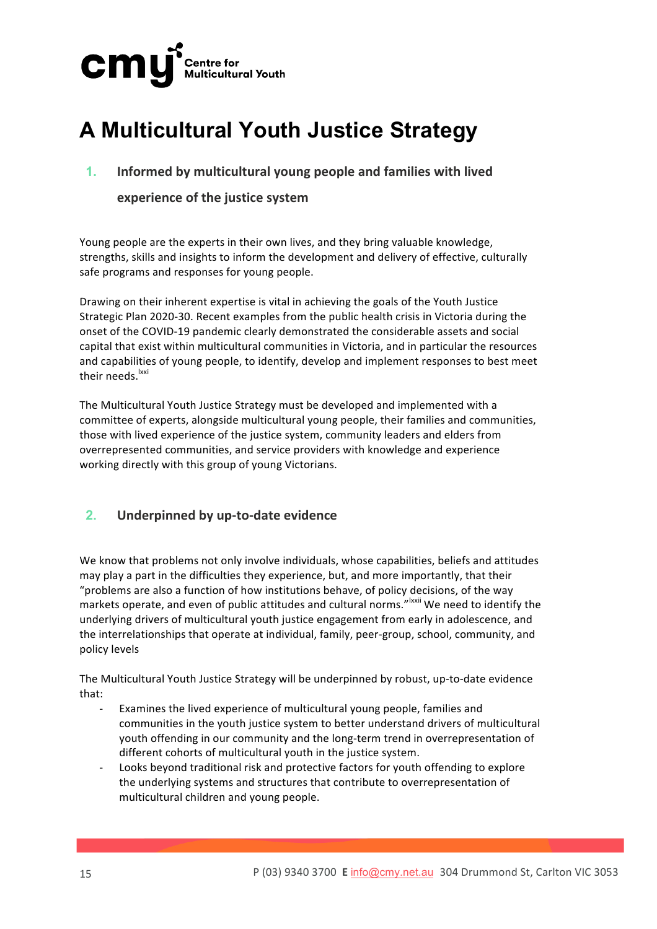

## **A Multicultural Youth Justice Strategy**

**1.** Informed by multicultural young people and families with lived

### **experience of the justice system**

Young people are the experts in their own lives, and they bring valuable knowledge, strengths, skills and insights to inform the development and delivery of effective, culturally safe programs and responses for young people.

Drawing on their inherent expertise is vital in achieving the goals of the Youth Justice Strategic Plan 2020-30. Recent examples from the public health crisis in Victoria during the onset of the COVID-19 pandemic clearly demonstrated the considerable assets and social capital that exist within multicultural communities in Victoria, and in particular the resources and capabilities of young people, to identify, develop and implement responses to best meet their needs.<sup>Ixxi</sup>

The Multicultural Youth Justice Strategy must be developed and implemented with a committee of experts, alongside multicultural young people, their families and communities, those with lived experience of the justice system, community leaders and elders from overrepresented communities, and service providers with knowledge and experience working directly with this group of young Victorians.

### **2. Underpinned by up-to-date evidence**

We know that problems not only involve individuals, whose capabilities, beliefs and attitudes may play a part in the difficulties they experience, but, and more importantly, that their "problems are also a function of how institutions behave, of policy decisions, of the way markets operate, and even of public attitudes and cultural norms."<sup>Ixxii</sup> We need to identify the underlying drivers of multicultural youth justice engagement from early in adolescence, and the interrelationships that operate at individual, family, peer-group, school, community, and policy levels

The Multicultural Youth Justice Strategy will be underpinned by robust, up-to-date evidence that: 

- Examines the lived experience of multicultural young people, families and communities in the youth justice system to better understand drivers of multicultural youth offending in our community and the long-term trend in overrepresentation of different cohorts of multicultural youth in the justice system.
- Looks beyond traditional risk and protective factors for youth offending to explore the underlying systems and structures that contribute to overrepresentation of multicultural children and young people.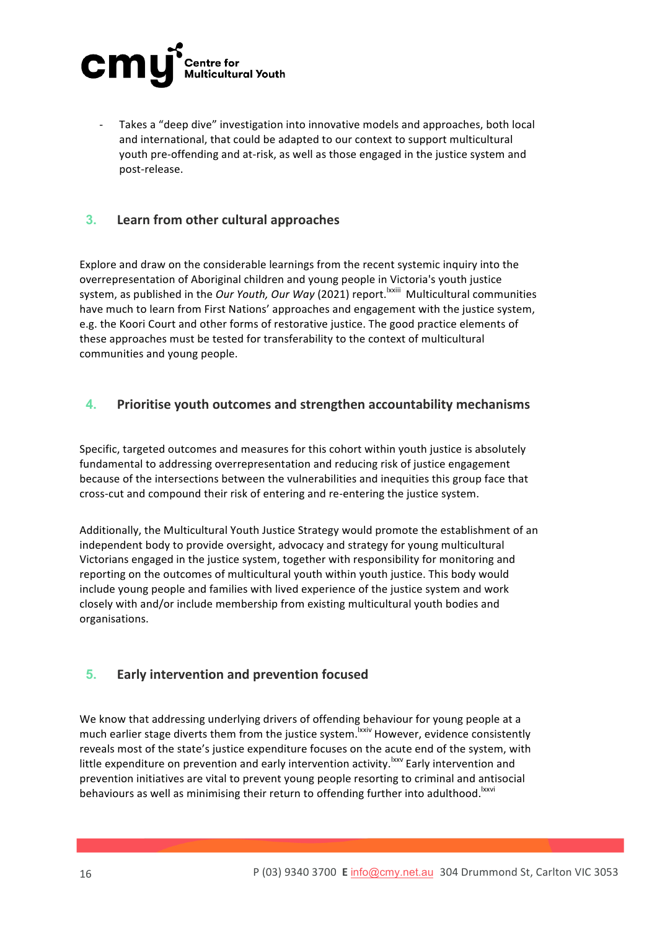

Takes a "deep dive" investigation into innovative models and approaches, both local and international, that could be adapted to our context to support multicultural youth pre-offending and at-risk, as well as those engaged in the justice system and post-release.

### **3.** Learn from other cultural approaches

Explore and draw on the considerable learnings from the recent systemic inquiry into the overrepresentation of Aboriginal children and young people in Victoria's youth justice system, as published in the *Our Youth, Our Way* (2021) report.<sup>Ixxiii</sup> Multicultural communities have much to learn from First Nations' approaches and engagement with the justice system, e.g. the Koori Court and other forms of restorative justice. The good practice elements of these approaches must be tested for transferability to the context of multicultural communities and young people.

### **4. Prioritise youth outcomes and strengthen accountability mechanisms**

Specific, targeted outcomes and measures for this cohort within youth justice is absolutely fundamental to addressing overrepresentation and reducing risk of justice engagement because of the intersections between the vulnerabilities and inequities this group face that cross-cut and compound their risk of entering and re-entering the justice system.

Additionally, the Multicultural Youth Justice Strategy would promote the establishment of an independent body to provide oversight, advocacy and strategy for young multicultural Victorians engaged in the justice system, together with responsibility for monitoring and reporting on the outcomes of multicultural youth within youth justice. This body would include young people and families with lived experience of the justice system and work closely with and/or include membership from existing multicultural youth bodies and organisations.

### **5. Early intervention and prevention focused**

We know that addressing underlying drivers of offending behaviour for young people at a much earlier stage diverts them from the justice system.<sup>Ixxiv</sup> However, evidence consistently reveals most of the state's justice expenditure focuses on the acute end of the system, with little expenditure on prevention and early intervention activity.<sup>Ixxv</sup> Early intervention and prevention initiatives are vital to prevent young people resorting to criminal and antisocial behaviours as well as minimising their return to offending further into adulthood.<sup>Ixxvi</sup>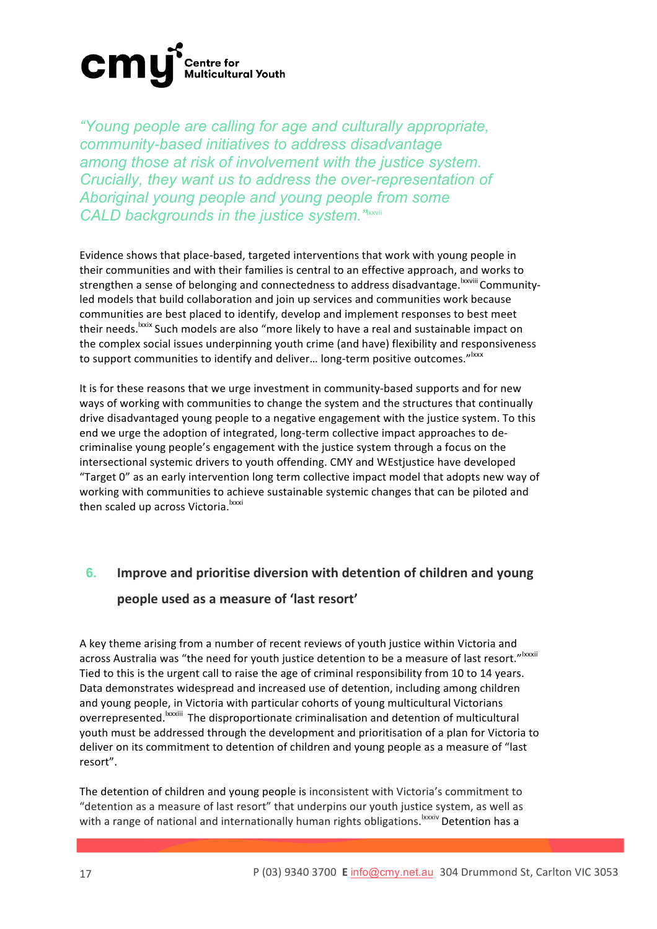

*"Young people are calling for age and culturally appropriate, community-based initiatives to address disadvantage among those at risk of involvement with the justice system. Crucially, they want us to address the over-representation of Aboriginal young people and young people from some*  CALD backgrounds in the justice system.<sup>"Ixxvii</sup>

Evidence shows that place-based, targeted interventions that work with young people in their communities and with their families is central to an effective approach, and works to strengthen a sense of belonging and connectedness to address disadvantage. Examile Communityled models that build collaboration and join up services and communities work because communities are best placed to identify, develop and implement responses to best meet their needs.<sup>Ixxix</sup> Such models are also "more likely to have a real and sustainable impact on the complex social issues underpinning youth crime (and have) flexibility and responsiveness to support communities to identify and deliver... long-term positive outcomes."<sup>Ixxx</sup>

It is for these reasons that we urge investment in community-based supports and for new ways of working with communities to change the system and the structures that continually drive disadvantaged young people to a negative engagement with the justice system. To this end we urge the adoption of integrated, long-term collective impact approaches to decriminalise young people's engagement with the justice system through a focus on the intersectional systemic drivers to youth offending. CMY and WEstjustice have developed "Target 0" as an early intervention long term collective impact model that adopts new way of working with communities to achieve sustainable systemic changes that can be piloted and then scaled up across Victoria.<sup>Ixxxi</sup>

### **6.** Improve and prioritise diversion with detention of children and young people used as a measure of 'last resort'

A key theme arising from a number of recent reviews of youth justice within Victoria and across Australia was "the need for youth justice detention to be a measure of last resort."<sup>Ixxxii</sup> Tied to this is the urgent call to raise the age of criminal responsibility from 10 to 14 years. Data demonstrates widespread and increased use of detention, including among children and young people, in Victoria with particular cohorts of young multicultural Victorians overrepresented.<sup>Ixxxiii</sup> The disproportionate criminalisation and detention of multicultural youth must be addressed through the development and prioritisation of a plan for Victoria to deliver on its commitment to detention of children and young people as a measure of "last resort". 

The detention of children and young people is inconsistent with Victoria's commitment to "detention as a measure of last resort" that underpins our youth justice system, as well as with a range of national and internationally human rights obligations.<sup>Ixxxiv</sup> Detention has a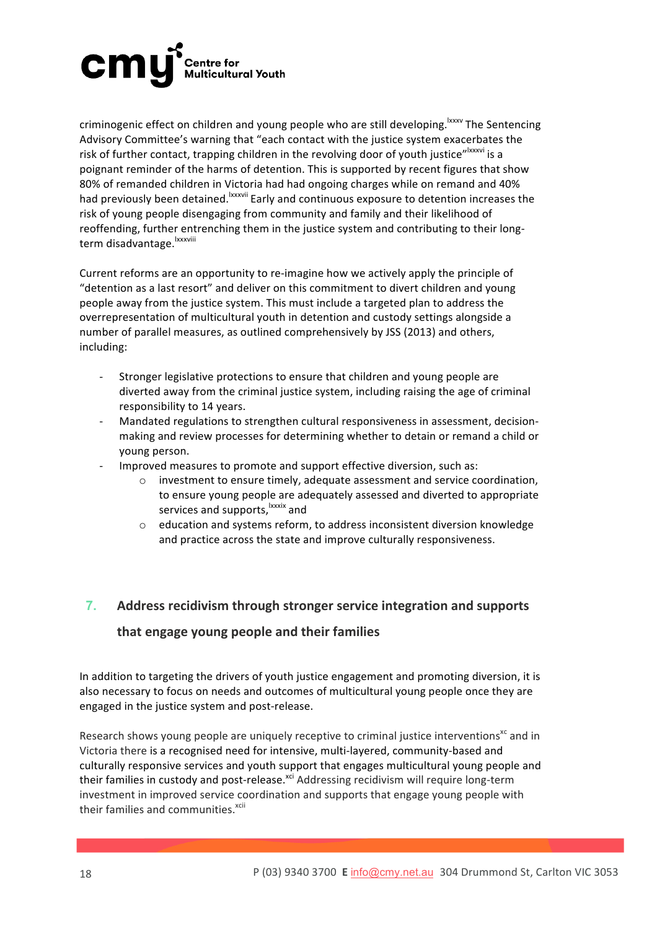

criminogenic effect on children and young people who are still developing.<sup>Ixxxv</sup> The Sentencing Advisory Committee's warning that "each contact with the justice system exacerbates the risk of further contact, trapping children in the revolving door of youth justice"<sup>Ixxxvi</sup> is a poignant reminder of the harms of detention. This is supported by recent figures that show 80% of remanded children in Victoria had had ongoing charges while on remand and 40% had previously been detained. <sup>Ixxxvii</sup> Early and continuous exposure to detention increases the risk of young people disengaging from community and family and their likelihood of reoffending, further entrenching them in the justice system and contributing to their longterm disadvantage. <sup>Ixxxviii</sup>

Current reforms are an opportunity to re-imagine how we actively apply the principle of "detention as a last resort" and deliver on this commitment to divert children and young people away from the justice system. This must include a targeted plan to address the overrepresentation of multicultural youth in detention and custody settings alongside a number of parallel measures, as outlined comprehensively by JSS (2013) and others, including: 

- Stronger legislative protections to ensure that children and young people are diverted away from the criminal justice system, including raising the age of criminal responsibility to 14 years.
- Mandated regulations to strengthen cultural responsiveness in assessment, decisionmaking and review processes for determining whether to detain or remand a child or young person.
- Improved measures to promote and support effective diversion, such as:
	- investment to ensure timely, adequate assessment and service coordination, to ensure young people are adequately assessed and diverted to appropriate services and supports, xxxix and
	- o education and systems reform, to address inconsistent diversion knowledge and practice across the state and improve culturally responsiveness.

### **7.** Address recidivism through stronger service integration and supports

### that engage young people and their families

In addition to targeting the drivers of youth justice engagement and promoting diversion, it is also necessary to focus on needs and outcomes of multicultural young people once they are engaged in the justice system and post-release.

Research shows young people are uniquely receptive to criminal justice interventions<sup>xc</sup> and in Victoria there is a recognised need for intensive, multi-layered, community-based and culturally responsive services and youth support that engages multicultural young people and their families in custody and post-release.<sup>xci</sup> Addressing recidivism will require long-term investment in improved service coordination and supports that engage young people with their families and communities.<sup>xcii</sup>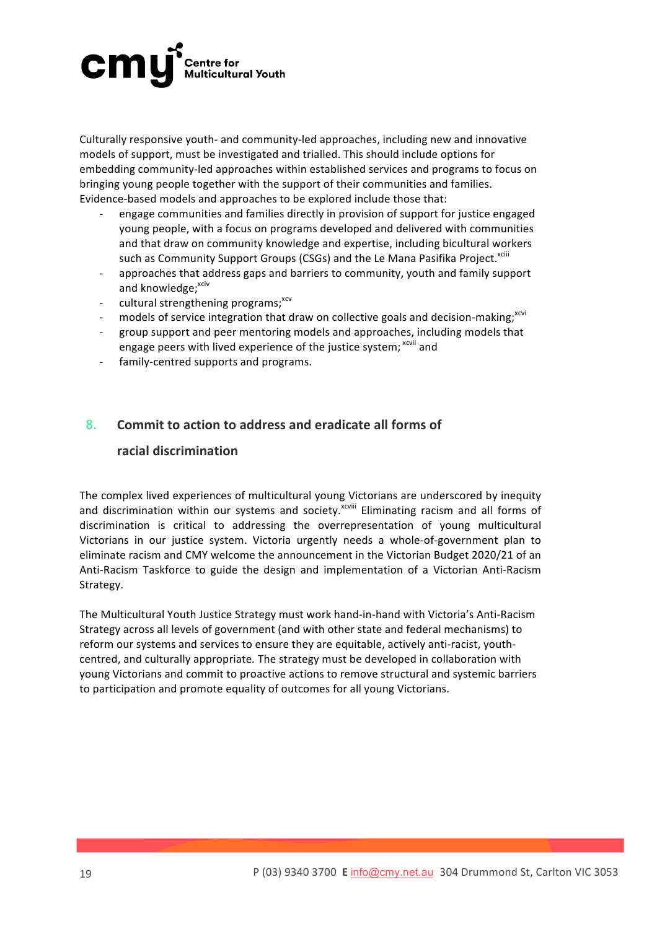### **cm! Centre for<br>Multicultural Youth**

Culturally responsive youth- and community-led approaches, including new and innovative models of support, must be investigated and trialled. This should include options for embedding community-led approaches within established services and programs to focus on bringing young people together with the support of their communities and families. Evidence-based models and approaches to be explored include those that:

- engage communities and families directly in provision of support for justice engaged young people, with a focus on programs developed and delivered with communities and that draw on community knowledge and expertise, including bicultural workers such as Community Support Groups (CSGs) and the Le Mana Pasifika Project.<sup>xciii</sup>
- approaches that address gaps and barriers to community, youth and family support and knowledge; xciv
- cultural strengthening programs;<sup>xcv</sup>
- models of service integration that draw on collective goals and decision-making;  $x^{cc}$
- group support and peer mentoring models and approaches, including models that engage peers with lived experience of the justice system; x<sup>ovii</sup> and
- family-centred supports and programs.

### **8. Commit to action to address and eradicate all forms of**

### **racial discrimination**

The complex lived experiences of multicultural young Victorians are underscored by inequity and discrimination within our systems and society.<sup>xcviii</sup> Eliminating racism and all forms of discrimination is critical to addressing the overrepresentation of young multicultural Victorians in our justice system. Victoria urgently needs a whole-of-government plan to eliminate racism and CMY welcome the announcement in the Victorian Budget 2020/21 of an Anti-Racism Taskforce to guide the design and implementation of a Victorian Anti-Racism Strategy. 

The Multicultural Youth Justice Strategy must work hand-in-hand with Victoria's Anti-Racism Strategy across all levels of government (and with other state and federal mechanisms) to reform our systems and services to ensure they are equitable, actively anti-racist, youthcentred, and culturally appropriate. The strategy must be developed in collaboration with young Victorians and commit to proactive actions to remove structural and systemic barriers to participation and promote equality of outcomes for all young Victorians.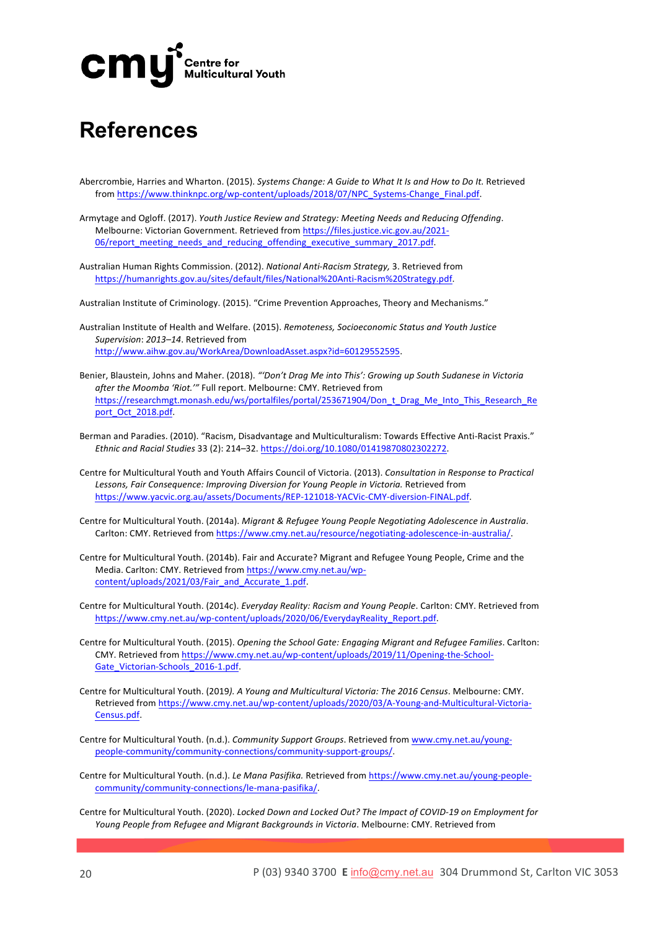

### **References**

- Abercrombie, Harries and Wharton. (2015). Systems Change: A Guide to What It Is and How to Do It. Retrieved from https://www.thinknpc.org/wp-content/uploads/2018/07/NPC\_Systems-Change\_Final.pdf.
- Armytage and Ogloff. (2017). Youth Justice Review and Strategy: Meeting Needs and Reducing Offending. Melbourne: Victorian Government. Retrieved from https://files.justice.vic.gov.au/2021-06/report\_meeting\_needs\_and\_reducing\_offending\_executive\_summary\_2017.pdf.
- Australian Human Rights Commission. (2012). *National Anti-Racism Strategy*, 3. Retrieved from https://humanrights.gov.au/sites/default/files/National%20Anti-Racism%20Strategy.pdf.
- Australian Institute of Criminology. (2015). "Crime Prevention Approaches, Theory and Mechanisms."
- Australian Institute of Health and Welfare. (2015). *Remoteness, Socioeconomic Status and Youth Justice* Supervision: 2013-14. Retrieved from http://www.aihw.gov.au/WorkArea/DownloadAsset.aspx?id=60129552595.
- Benier, Blaustein, Johns and Maher. (2018). "'Don't Drag Me into This': Growing up South Sudanese in Victoria after the Moomba 'Riot.'" Full report. Melbourne: CMY. Retrieved from https://researchmgt.monash.edu/ws/portalfiles/portal/253671904/Don\_t\_Drag\_Me\_Into\_This\_Research\_Re port\_Oct\_2018.pdf.
- Berman and Paradies. (2010). "Racism, Disadvantage and Multiculturalism: Towards Effective Anti-Racist Praxis." *Ethnic and Racial Studies* 33 (2): 214–32. https://doi.org/10.1080/01419870802302272.
- Centre for Multicultural Youth and Youth Affairs Council of Victoria. (2013). *Consultation in Response to Practical* Lessons, Fair Consequence: Improving Diversion for Young People in Victoria. Retrieved from https://www.yacvic.org.au/assets/Documents/REP-121018-YACVic-CMY-diversion-FINAL.pdf.
- Centre for Multicultural Youth. (2014a). *Migrant & Refugee Young People Negotiating Adolescence in Australia*. Carlton: CMY. Retrieved from https://www.cmy.net.au/resource/negotiating-adolescence-in-australia/.
- Centre for Multicultural Youth. (2014b). Fair and Accurate? Migrant and Refugee Young People, Crime and the Media. Carlton: CMY. Retrieved from https://www.cmy.net.au/wpcontent/uploads/2021/03/Fair\_and\_Accurate\_1.pdf.
- Centre for Multicultural Youth. (2014c). *Everyday Reality: Racism and Young People*. Carlton: CMY. Retrieved from https://www.cmy.net.au/wp-content/uploads/2020/06/EverydayReality\_Report.pdf.
- Centre for Multicultural Youth. (2015). *Opening the School Gate: Engaging Migrant and Refugee Families*. Carlton: CMY. Retrieved from https://www.cmy.net.au/wp-content/uploads/2019/11/Opening-the-School-Gate\_Victorian-Schools\_2016-1.pdf.
- Centre for Multicultural Youth. (2019). A Young and Multicultural Victoria: The 2016 Census. Melbourne: CMY. Retrieved from https://www.cmy.net.au/wp-content/uploads/2020/03/A-Young-and-Multicultural-Victoria-Census.pdf.
- Centre for Multicultural Youth. (n.d.). *Community Support Groups*. Retrieved from www.cmy.net.au/youngpeople-community/community-connections/community-support-groups/.
- Centre for Multicultural Youth. (n.d.). Le Mana Pasifika. Retrieved from https://www.cmy.net.au/young-peoplecommunity/community-connections/le-mana-pasifika/.
- Centre for Multicultural Youth. (2020). *Locked Down and Locked Out? The Impact of COVID-19* on Employment for *Young People from Refugee and Migrant Backgrounds in Victoria*. Melbourne: CMY. Retrieved from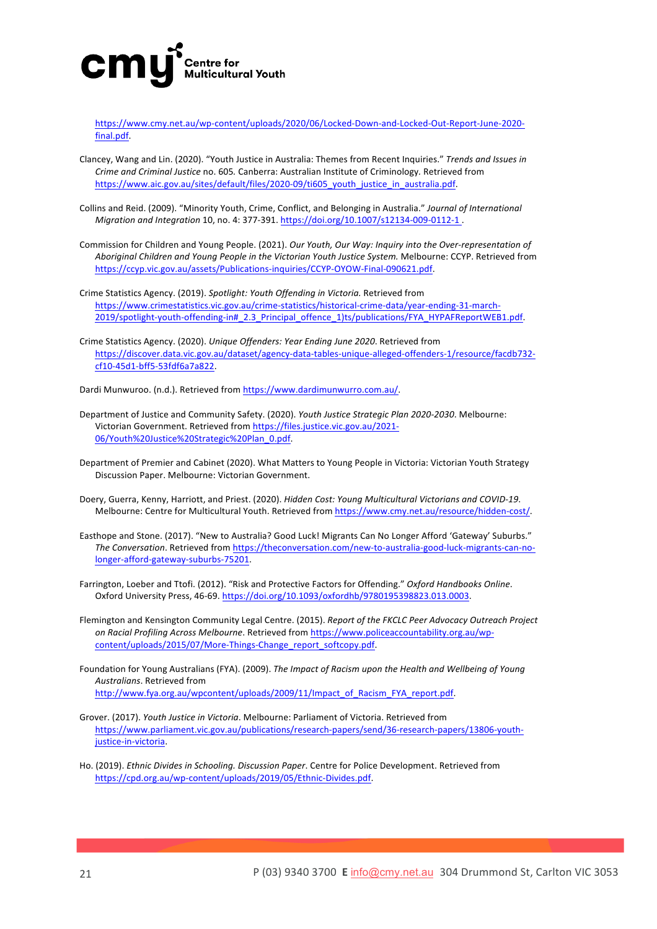

https://www.cmy.net.au/wp-content/uploads/2020/06/Locked-Down-and-Locked-Out-Report-June-2020 final.pdf.

- Clancey, Wang and Lin. (2020). "Youth Justice in Australia: Themes from Recent Inquiries." Trends and Issues in *Crime and Criminal Justice no.* 605*.* Canberra: Australian Institute of Criminology. Retrieved from https://www.aic.gov.au/sites/default/files/2020-09/ti605\_youth\_justice\_in\_australia.pdf.
- Collins and Reid. (2009). "Minority Youth, Crime, Conflict, and Belonging in Australia." Journal of International *Migration and Integration* 10, no. 4: 377-391. https://doi.org/10.1007/s12134-009-0112-1.
- Commission for Children and Young People. (2021). *Our Youth, Our Way: Inquiry into the Over-representation of* Aboriginal Children and Young People in the Victorian Youth Justice System. Melbourne: CCYP. Retrieved from https://ccyp.vic.gov.au/assets/Publications-inquiries/CCYP-OYOW-Final-090621.pdf.
- Crime Statistics Agency. (2019). Spotlight: Youth Offending in Victoria. Retrieved from https://www.crimestatistics.vic.gov.au/crime-statistics/historical-crime-data/year-ending-31-march-2019/spotlight-youth-offending-in#\_2.3\_Principal\_offence\_1)ts/publications/FYA\_HYPAFReportWEB1.pdf.
- Crime Statistics Agency. (2020). *Unique Offenders: Year Ending June 2020*. Retrieved from https://discover.data.vic.gov.au/dataset/agency-data-tables-unique-alleged-offenders-1/resource/facdb732 cf10-45d1-bff5-53fdf6a7a822.

Dardi Munwuroo. (n.d.). Retrieved from https://www.dardimunwurro.com.au/.

- Department of Justice and Community Safety. (2020). *Youth Justice Strategic Plan 2020-2030*. Melbourne: Victorian Government. Retrieved from https://files.justice.vic.gov.au/2021-06/Youth%20Justice%20Strategic%20Plan\_0.pdf.
- Department of Premier and Cabinet (2020). What Matters to Young People in Victoria: Victorian Youth Strategy Discussion Paper. Melbourne: Victorian Government.
- Doery, Guerra, Kenny, Harriott, and Priest. (2020). *Hidden Cost: Young Multicultural Victorians and COVID-19*. Melbourne: Centre for Multicultural Youth. Retrieved from https://www.cmy.net.au/resource/hidden-cost/.
- Easthope and Stone. (2017). "New to Australia? Good Luck! Migrants Can No Longer Afford 'Gateway' Suburbs." The Conversation. Retrieved from https://theconversation.com/new-to-australia-good-luck-migrants-can-nolonger-afford-gateway-suburbs-75201.
- Farrington, Loeber and Ttofi. (2012). "Risk and Protective Factors for Offending." Oxford Handbooks Online. Oxford University Press, 46-69. https://doi.org/10.1093/oxfordhb/9780195398823.013.0003.
- Flemington and Kensington Community Legal Centre. (2015). *Report of the FKCLC Peer Advocacy Outreach Project* on Racial Profiling Across Melbourne. Retrieved from https://www.policeaccountability.org.au/wpcontent/uploads/2015/07/More-Things-Change\_report\_softcopy.pdf.
- Foundation for Young Australians (FYA). (2009). The Impact of Racism upon the Health and Wellbeing of Young *Australians*. Retrieved from http://www.fya.org.au/wpcontent/uploads/2009/11/Impact\_of\_Racism\_FYA\_report.pdf.
- Grover. (2017). *Youth Justice in Victoria*. Melbourne: Parliament of Victoria. Retrieved from https://www.parliament.vic.gov.au/publications/research-papers/send/36-research-papers/13806-youthjustice-in-victoria.
- Ho. (2019). *Ethnic Divides in Schooling. Discussion Paper*. Centre for Police Development. Retrieved from https://cpd.org.au/wp-content/uploads/2019/05/Ethnic-Divides.pdf.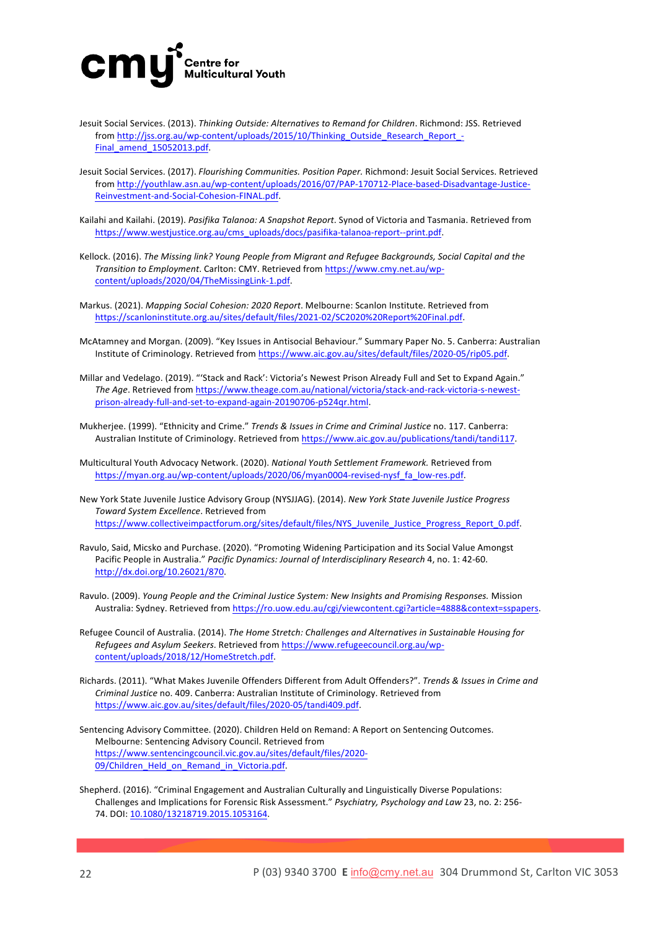

- Jesuit Social Services. (2013). Thinking Outside: Alternatives to Remand for Children. Richmond: JSS. Retrieved from http://jss.org.au/wp-content/uploads/2015/10/Thinking\_Outside\_Research\_Report\_-Final amend 15052013.pdf.
- Jesuit Social Services. (2017). Flourishing Communities. Position Paper. Richmond: Jesuit Social Services. Retrieved from http://youthlaw.asn.au/wp-content/uploads/2016/07/PAP-170712-Place-based-Disadvantage-Justice-Reinvestment-and-Social-Cohesion-FINAL.pdf.
- Kailahi and Kailahi. (2019). *Pasifika Talanoa: A Snapshot Report*. Synod of Victoria and Tasmania. Retrieved from https://www.westjustice.org.au/cms\_uploads/docs/pasifika-talanoa-report--print.pdf.

Kellock. (2016). The Missing link? Young People from Migrant and Refugee Backgrounds, Social Capital and the *Transition to Employment*. Carlton: CMY. Retrieved from https://www.cmy.net.au/wpcontent/uploads/2020/04/TheMissingLink-1.pdf.

Markus. (2021). *Mapping Social Cohesion: 2020 Report*. Melbourne: Scanlon Institute. Retrieved from https://scanloninstitute.org.au/sites/default/files/2021-02/SC2020%20Report%20Final.pdf.

- McAtamney and Morgan. (2009). "Key Issues in Antisocial Behaviour." Summary Paper No. 5. Canberra: Australian Institute of Criminology. Retrieved from https://www.aic.gov.au/sites/default/files/2020-05/rip05.pdf.
- Millar and Vedelago. (2019). "'Stack and Rack': Victoria's Newest Prison Already Full and Set to Expand Again." The Age. Retrieved from https://www.theage.com.au/national/victoria/stack-and-rack-victoria-s-newestprison-already-full-and-set-to-expand-again-20190706-p524qr.html.

Mukherjee. (1999). "Ethnicity and Crime." *Trends & Issues in Crime and Criminal Justice* no. 117. Canberra: Australian Institute of Criminology. Retrieved from https://www.aic.gov.au/publications/tandi/tandi117.

Multicultural Youth Advocacy Network. (2020). *National Youth Settlement Framework*. Retrieved from https://myan.org.au/wp-content/uploads/2020/06/myan0004-revised-nysf\_fa\_low-res.pdf.

New York State Juvenile Justice Advisory Group (NYSJJAG). (2014). New York State Juvenile Justice Progress *Toward System Excellence*. Retrieved from https://www.collectiveimpactforum.org/sites/default/files/NYS\_Juvenile\_Justice\_Progress\_Report\_0.pdf. 

Ravulo, Said, Micsko and Purchase. (2020). "Promoting Widening Participation and its Social Value Amongst Pacific People in Australia." Pacific Dynamics: Journal of Interdisciplinary Research 4, no. 1: 42-60. http://dx.doi.org/10.26021/870. 

Ravulo. (2009). *Young People and the Criminal Justice System:* New Insights and Promising Responses. Mission Australia: Sydney. Retrieved from https://ro.uow.edu.au/cgi/viewcontent.cgi?article=4888&context=sspapers.

- Refugee Council of Australia. (2014). *The Home Stretch: Challenges and Alternatives in Sustainable Housing for Refugees and Asylum Seekers*. Retrieved from https://www.refugeecouncil.org.au/wpcontent/uploads/2018/12/HomeStretch.pdf.
- Richards. (2011). "What Makes Juvenile Offenders Different from Adult Offenders?". Trends & Issues in Crime and *Criminal Justice* no. 409. Canberra: Australian Institute of Criminology. Retrieved from https://www.aic.gov.au/sites/default/files/2020-05/tandi409.pdf.
- Sentencing Advisory Committee. (2020). Children Held on Remand: A Report on Sentencing Outcomes. Melbourne: Sentencing Advisory Council. Retrieved from https://www.sentencingcouncil.vic.gov.au/sites/default/files/2020- 09/Children\_Held\_on\_Remand\_in\_Victoria.pdf.

Shepherd. (2016). "Criminal Engagement and Australian Culturally and Linguistically Diverse Populations: Challenges and Implications for Forensic Risk Assessment." Psychiatry, Psychology and Law 23, no. 2: 256-74. DOI: 10.1080/13218719.2015.1053164.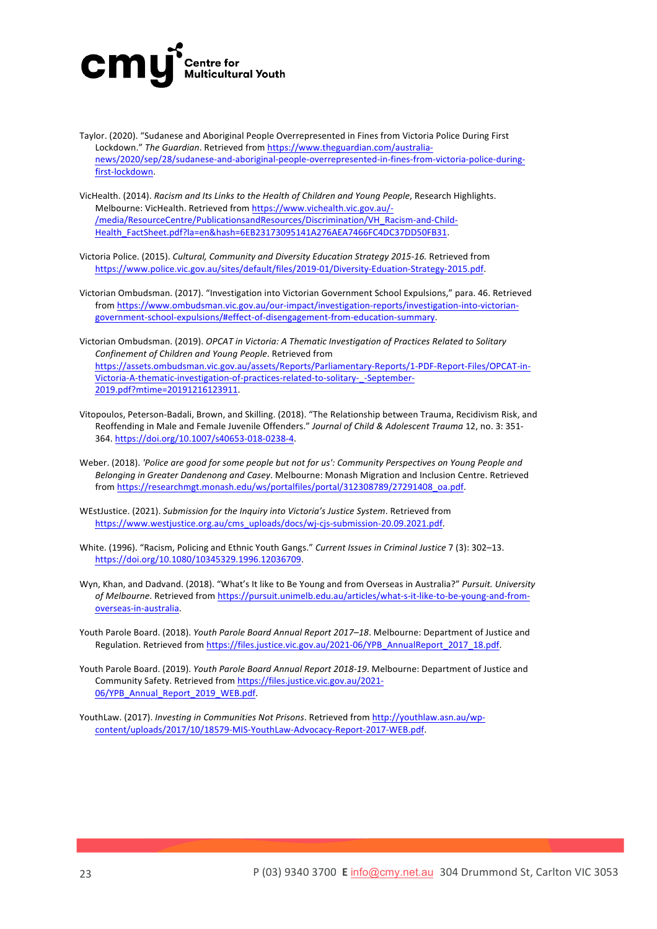

- Taylor. (2020). "Sudanese and Aboriginal People Overrepresented in Fines from Victoria Police During First Lockdown." The Guardian. Retrieved from https://www.theguardian.com/australianews/2020/sep/28/sudanese-and-aboriginal-people-overrepresented-in-fines-from-victoria-police-duringfirst-lockdown.
- VicHealth. (2014). *Racism and Its Links to the Health of Children and Young People*, Research Highlights. Melbourne: VicHealth. Retrieved from https://www.vichealth.vic.gov.au/-/media/ResourceCentre/PublicationsandResources/Discrimination/VH\_Racism-and-Child-Health\_FactSheet.pdf?la=en&hash=6EB23173095141A276AEA7466FC4DC37DD50FB31.
- Victoria Police. (2015). *Cultural, Community and Diversity Education Strategy 2015-16.* Retrieved from https://www.police.vic.gov.au/sites/default/files/2019-01/Diversity-Eduation-Strategy-2015.pdf.
- Victorian Ombudsman. (2017). "Investigation into Victorian Government School Expulsions," para. 46. Retrieved from https://www.ombudsman.vic.gov.au/our-impact/investigation-reports/investigation-into-victoriangovernment-school-expulsions/#effect-of-disengagement-from-education-summary.
- Victorian Ombudsman. (2019). *OPCAT in Victoria: A Thematic Investigation of Practices Related to Solitary Confinement of Children and Young People*. Retrieved from https://assets.ombudsman.vic.gov.au/assets/Reports/Parliamentary-Reports/1-PDF-Report-Files/OPCAT-in-Victoria-A-thematic-investigation-of-practices-related-to-solitary-\_-September-2019.pdf?mtime=20191216123911.
- Vitopoulos, Peterson-Badali, Brown, and Skilling. (2018). "The Relationship between Trauma, Recidivism Risk, and Reoffending in Male and Female Juvenile Offenders." Journal of Child & Adolescent Trauma 12, no. 3: 351-364. https://doi.org/10.1007/s40653-018-0238-4.
- Weber. (2018). 'Police are good for some people but not for us': Community Perspectives on Young People and Belonging in Greater Dandenong and Casey. Melbourne: Monash Migration and Inclusion Centre. Retrieved from https://researchmgt.monash.edu/ws/portalfiles/portal/312308789/27291408\_oa.pdf.
- WEstJustice. (2021). Submission for the Inquiry into Victoria's Justice System. Retrieved from https://www.westjustice.org.au/cms\_uploads/docs/wj-cjs-submission-20.09.2021.pdf.
- White. (1996). "Racism, Policing and Ethnic Youth Gangs." *Current Issues in Criminal Justice* 7 (3): 302-13. https://doi.org/10.1080/10345329.1996.12036709.
- Wyn, Khan, and Dadvand. (2018). "What's It like to Be Young and from Overseas in Australia?" Pursuit. University of Melbourne. Retrieved from https://pursuit.unimelb.edu.au/articles/what-s-it-like-to-be-young-and-fromoverseas-in-australia.
- Youth Parole Board. (2018). Youth Parole Board Annual Report 2017–18. Melbourne: Department of Justice and Regulation. Retrieved from https://files.justice.vic.gov.au/2021-06/YPB\_AnnualReport\_2017\_18.pdf.
- Youth Parole Board. (2019). *Youth Parole Board Annual Report 2018-19*. Melbourne: Department of Justice and Community Safety. Retrieved from https://files.justice.vic.gov.au/2021-06/YPB Annual Report 2019 WEB.pdf.
- YouthLaw. (2017). *Investing in Communities Not Prisons*. Retrieved from http://youthlaw.asn.au/wpcontent/uploads/2017/10/18579-MIS-YouthLaw-Advocacy-Report-2017-WEB.pdf.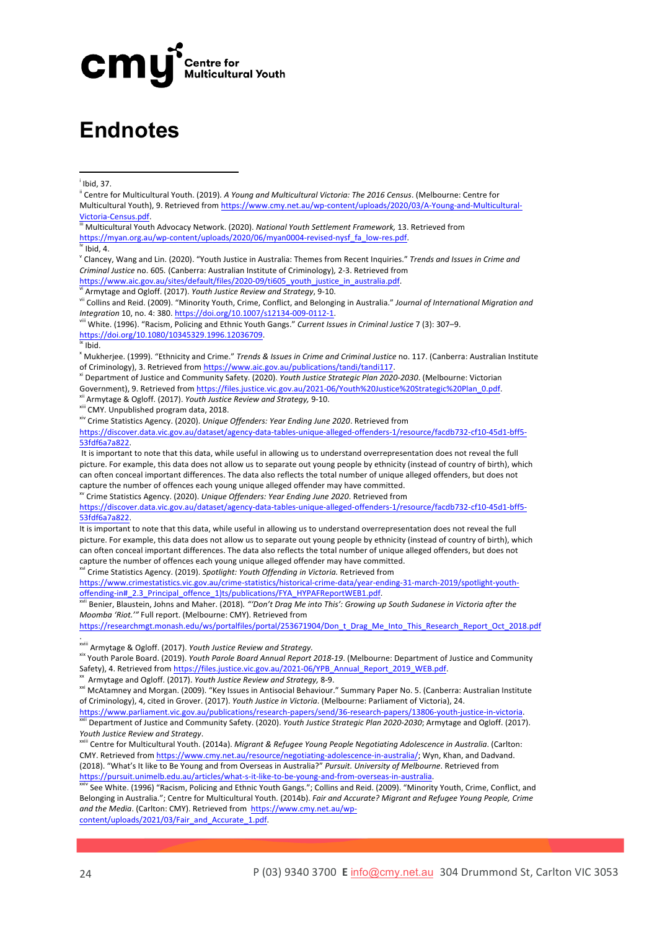

### **Endnotes**

 

 $\dot{}$  Ibid, 37.

**iii** Multicultural Youth Advocacy Network. (2020). *National Youth Settlement Framework,* 13. Retrieved from https://myan.org.au/wp-content/uploads/2020/06/myan0004-revised-nysf\_fa\_low-res.pdf. 

 $\overline{W}$  Ibid, 4.

<sup>v</sup> Clancey, Wang and Lin. (2020). "Youth Justice in Australia: Themes from Recent Inquiries." *Trends and Issues in Crime and Criminal Justice* no. 605. (Canberra: Australian Institute of Criminology), 2-3. Retrieved from https://www.aic.gov.au/sites/default/files/2020-09/ti605\_youth\_justice\_in\_australia.pdf.

Armytage and Ogloff. (2017). *Youth Justice Review and Strategy*, 9-10.

vii Collins and Reid. (2009). "Minority Youth, Crime, Conflict, and Belonging in Australia." *Journal of International Migration and Integration* 10, no. 4: 380. https://doi.org/10.1007/s12134-009-0112-1.

viii White. (1996). "Racism, Policing and Ethnic Youth Gangs." Current Issues in Criminal Justice 7 (3): 307–9. https://doi.org/10.1080/10345329.1996.12036709. 

#### $\frac{1}{1}$  Ibid.

<sup>x</sup> Mukherjee. (1999). "Ethnicity and Crime." *Trends & Issues in Crime and Criminal Justice* no. 117. (Canberra: Australian Institute of Criminology), 3. Retrieved from https://www.aic.gov.au/publications/tandi/tandi117.

<sup>xi</sup> Department of Justice and Community Safety. (2020). *Youth Justice Strategic Plan 2020-2030*. (Melbourne: Victorian Government), 9. Retrieved from https://files.justice.vic.gov.au/2021-06/Youth%20Justice%20Strategic%20Plan\_0.pdf.

<sup>xii</sup> Armytage & Ogloff. (2017). Youth Justice Review and Strategy, 9-10.

xiii CMY. Unpublished program data, 2018.

xiv Crime Statistics Agency. (2020). *Unique Offenders: Year Ending June 2020*. Retrieved from

https://discover.data.vic.gov.au/dataset/agency-data-tables-unique-alleged-offenders-1/resource/facdb732-cf10-45d1-bff5- 53fdf6a7a822. 

It is important to note that this data, while useful in allowing us to understand overrepresentation does not reveal the full picture. For example, this data does not allow us to separate out young people by ethnicity (instead of country of birth), which can often conceal important differences. The data also reflects the total number of unique alleged offenders, but does not capture the number of offences each young unique alleged offender may have committed.

xv Crime Statistics Agency. (2020). *Unique Offenders: Year Ending June 2020*. Retrieved from 

https://discover.data.vic.gov.au/dataset/agency-data-tables-unique-alleged-offenders-1/resource/facdb732-cf10-45d1-bff5- 53fdf6a7a822. 

It is important to note that this data, while useful in allowing us to understand overrepresentation does not reveal the full picture. For example, this data does not allow us to separate out young people by ethnicity (instead of country of birth), which can often conceal important differences. The data also reflects the total number of unique alleged offenders, but does not capture the number of offences each young unique alleged offender may have committed.

<sup>xvi</sup> Crime Statistics Agency. (2019). *Spotlight: Youth Offending in Victoria.* Retrieved from

https://www.crimestatistics.vic.gov.au/crime-statistics/historical-crime-data/year-ending-31-march-2019/spotlight-youthoffending-in#\_2.3\_Principal\_offence\_1)ts/publications/FYA\_HYPAFReportWEB1.pdf. 

<sup>xvii</sup> Benier, Blaustein, Johns and Maher. (2018). "'Don't Drag Me into This': Growing up South Sudanese in Victoria after the *Moomba 'Riot.'"* Full report. (Melbourne: CMY). Retrieved from

https://researchmgt.monash.edu/ws/portalfiles/portal/253671904/Don\_t\_Drag\_Me\_Into\_This\_Research\_Report\_Oct\_2018.pdf

xviii Armytage & Ogloff. (2017). *Youth Justice Review and Strategy.*

xix Youth Parole Board. (2019). *Youth Parole Board Annual Report 2018-19*. (Melbourne: Department of Justice and Community Safety), 4. Retrieved from https://files.justice.vic.gov.au/2021-06/YPB\_Annual\_Report\_2019\_WEB.pdf.

<sup>xx</sup> Armytage and Ogloff. (2017). Youth Justice Review and Strategy, 8-9.

https://www.parliament.vic.gov.au/publications/research-papers/send/36-research-papers/13806-youth-justice-in-victoria. Department of Justice and Community Safety. (2020). *Youth Justice Strategic Plan 2020-2030*; Armytage and Ogloff. (2017). *Youth Justice Review and Strategy*.

ii Centre for Multicultural Youth. (2014a). *Migrant & Refugee Young People Negotigting Adolescence in Australia.* (Carlton: CMY. Retrieved from https://www.cmy.net.au/resource/negotiating-adolescence-in-australia/; Wyn, Khan, and Dadvand. (2018). "What's It like to Be Young and from Overseas in Australia?" Pursuit. University of Melbourne. Retrieved from https://pursuit.unimelb.edu.au/articles/what-s-it-like-to-be-young-and-from-overseas-in-australia. 

See White. (1996) "Racism, Policing and Ethnic Youth Gangs."; Collins and Reid. (2009). "Minority Youth, Crime, Conflict, and Belonging in Australia."; Centre for Multicultural Youth. (2014b). *Fair and Accurate? Migrant and Refugee Young People, Crime* and the Media. (Carlton: CMY). Retrieved from https://www.cmy.net.au/wp-

content/uploads/2021/03/Fair\_and\_Accurate\_1.pdf. 

.

<sup>&</sup>lt;sup>ii</sup> Centre for Multicultural Youth. (2019). A Young and Multicultural Victoria: The 2016 Census. (Melbourne: Centre for Multicultural Youth), 9. Retrieved from https://www.cmy.net.au/wp-content/uploads/2020/03/A-Young-and-Multicultural-Victoria-Census.pdf

xxi McAtamney and Morgan. (2009). "Key Issues in Antisocial Behaviour." Summary Paper No. 5. (Canberra: Australian Institute of Criminology), 4, cited in Grover. (2017). *Youth Justice in Victoria*. (Melbourne: Parliament of Victoria), 24.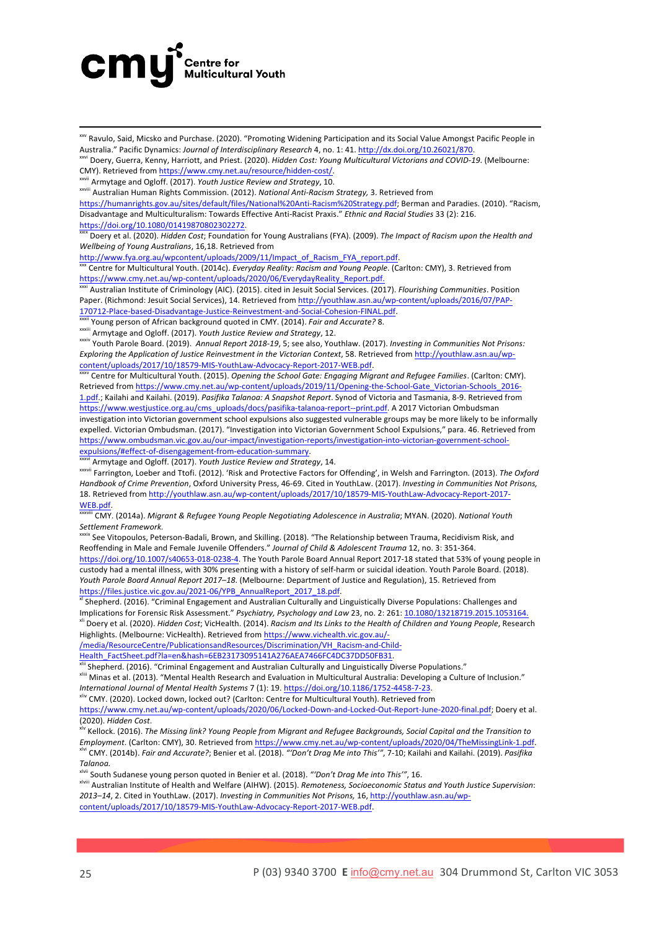

<u> 1989 - Jan Sarajević, politički predsjednik i politički predsjednik i politički politički politički političk</u>  $\stackrel{\text{xiv}}{ }$  Ravulo, Said, Micsko and Purchase. (2020). "Promoting Widening Participation and its Social Value Amongst Pacific People in Australia." Pacific Dynamics: *Journal of Interdisciplinary Research* 4, no. 1: 41. http://dx.doi.org/10.26021/870.

<sup>xxi</sup> Doery, Guerra, Kenny, Harriott, and Priest. (2020). *Hidden Cost: Young Multicultural Victorians and COVID-19.* (Melbourne: CMY). Retrieved from https://www.cmy.net.au/resource/hidden-cost/.

wii Armytage and Ogloff. (2017). *Youth Justice Review and Strategy*, 10.

xxviii Australian Human Rights Commission. (2012). *National Anti-Racism Strategy,* 3. Retrieved from

https://humanrights.gov.au/sites/default/files/National%20Anti-Racism%20Strategy.pdf; Berman and Paradies. (2010). "Racism, Disadvantage and Multiculturalism: Towards Effective Anti-Racist Praxis." *Ethnic and Racial Studies* 33 (2): 216.

https://doi.org/10.1080/01419870802302272.

Doery et al. (2020). *Hidden Cost;* Foundation for Young Australians (FYA). (2009). The Impact of Racism upon the Health and *Wellbeing of Young Australians*, 16,18. Retrieved from 

http://www.fya.org.au/wpcontent/uploads/2009/11/Impact\_of\_Racism\_FYA\_report.pdf.

<sup>c</sup> Centre for Multicultural Youth. (2014c). *Everyday Reality: Racism and Young People*. (Carlton: CMY), 3. Retrieved from https://www.cmy.net.au/wp-content/uploads/2020/06/EverydayReality\_Report.pdf.

xxxi Australian Institute of Criminology (AIC). (2015). cited in Jesuit Social Services. (2017). *Flourishing Communities*. Position Paper. (Richmond: Jesuit Social Services), 14. Retrieved from http://youthlaw.asn.au/wp-content/uploads/2016/07/PAP-170712-Place-based-Disadvantage-Justice-Reinvestment-and-Social-Cohesion-FINAL.pdf.

<sup>i</sup> Young person of African background quoted in CMY. (2014). *Fair and Accurate?* 8.

xxxiii Armytage and Ogloff. (2017). *Youth Justice Review and Strategy*, 12.

xxxiv Youth Parole Board. (2019). Annual Report 2018-19, 5; see also, Youthlaw. (2017). *Investing in Communities Not Prisons: Exploring the Application of Justice Reinvestment in the Victorian Context*, 58. Retrieved from http://youthlaw.asn.au/wpcontent/uploads/2017/10/18579-MIS-YouthLaw-Advocacy-Report-2017-WEB.pdf.

Centre for Multicultural Youth. (2015). *Opening the School Gate: Engaging Migrant and Refugee Families*. (Carlton: CMY). Retrieved from https://www.cmy.net.au/wp-content/uploads/2019/11/Opening-the-School-Gate\_Victorian-Schools\_2016-1.pdf.; Kailahi and Kailahi. (2019). Pasifika Talanoa: A Snapshot Report. Synod of Victoria and Tasmania, 8-9. Retrieved from https://www.westjustice.org.au/cms\_uploads/docs/pasifika-talanoa-report--print.pdf. A 2017 Victorian Ombudsman investigation into Victorian government school expulsions also suggested vulnerable groups may be more likely to be informally expelled. Victorian Ombudsman. (2017). "Investigation into Victorian Government School Expulsions," para. 46. Retrieved from https://www.ombudsman.vic.gov.au/our-impact/investigation-reports/investigation-into-victorian-government-schoolexpulsions/#effect-of-disengagement-from-education-summary. 

<sup>i</sup> Armytage and Ogloff. (2017). *Youth Justice Review and Strategy*, 14.

xxxvii Farrington, Loeber and Ttofi. (2012). 'Risk and Protective Factors for Offending', in Welsh and Farrington. (2013). The Oxford Handbook of Crime Prevention, Oxford University Press, 46-69. Cited in YouthLaw. (2017). *Investing in Communities Not Prisons,* 18. Retrieved from http://youthlaw.asn.au/wp-content/uploads/2017/10/18579-MIS-YouthLaw-Advocacy-Report-2017- WEB.pdf.

CMY. (2014a). Migrant & Refugee Young People Negotiating Adolescence in Australia; MYAN. (2020). National Youth Settlement Framework.

<sup>xxxix</sup> See Vitopoulos, Peterson-Badali, Brown, and Skilling. (2018). "The Relationship between Trauma, Recidivism Risk, and Reoffending in Male and Female Juvenile Offenders." Journal of Child & Adolescent Trauma 12, no. 3: 351-364. https://doi.org/10.1007/s40653-018-0238-4. The Youth Parole Board Annual Report 2017-18 stated that 53% of young people in custody had a mental illness, with 30% presenting with a history of self-harm or suicidal ideation. Youth Parole Board. (2018). *Youth Parole Board Annual Report 2017–18*. (Melbourne: Department of Justice and Regulation), 15. Retrieved from https://files.justice.vic.gov.au/2021-06/YPB\_AnnualReport\_2017\_18.pdf. 

xi Shepherd. (2016). "Criminal Engagement and Australian Culturally and Linguistically Diverse Populations: Challenges and Implications for Forensic Risk Assessment." *Psychiatry, Psychology and Law* 23, no. 2: 261: 10.1080/13218719.2015.1053164 xil Doery et al. (2020). *Hidden Cost;* VicHealth. (2014). *Racism and Its Links to the Health of Children and Young People, Research* 

Highlights. (Melbourne: VicHealth). Retrieved from https://www.vichealth.vic.gov.au/-/media/ResourceCentre/PublicationsandResources/Discrimination/VH\_Racism-and-Child-

Health\_FactSheet.pdf?la=en&hash=6EB23173095141A276AEA7466FC4DC37DD50FB31. 

<sup>xiii</sup> Shepherd. (2016). "Criminal Engagement and Australian Culturally and Linguistically Diverse Populations."

xliii Minas et al. (2013). "Mental Health Research and Evaluation in Multicultural Australia: Developing a Culture of Inclusion." *International Journal of Mental Health Systems* 7 (1): 19. https://doi.org/10.1186/1752-4458-7-23.

xliv CMY. (2020). Locked down, locked out? (Carlton: Centre for Multicultural Youth). Retrieved from

https://www.cmy.net.au/wp-content/uploads/2020/06/Locked-Down-and-Locked-Out-Report-June-2020-final.pdf; Doery et al. (2020). *Hidden Cost*.

<sup>k</sup> Kellock. (2016). The Missing link? Young People from Migrant and Refugee Backgrounds, Social Capital and the Transition to *Employment*. (Carlton: CMY), 30. Retrieved from https://www.cmy.net.au/wp-content/uploads/2020/04/TheMissingLink-1.pdf. <sup>lvi</sup> CMY. (2014b). *Fair and Accurate?*; Benier et al. (2018). *"'Don't Drag Me into This'", 7-*10; Kailahi and Kailahi. (2019). *Pasifika Talanoa.*

<sup>ii</sup> South Sudanese young person quoted in Benier et al. (2018). "'Don't Drag Me into This'", 16.

xlviii Australian Institute of Health and Welfare (AIHW). (2015). *Remoteness, Socioeconomic Status and Youth Justice Supervision*: 2013–14, 2. Cited in YouthLaw. (2017). *Investing in Communities Not Prisons*, 16, http://youthlaw.asn.au/wpcontent/uploads/2017/10/18579-MIS-YouthLaw-Advocacy-Report-2017-WEB.pdf.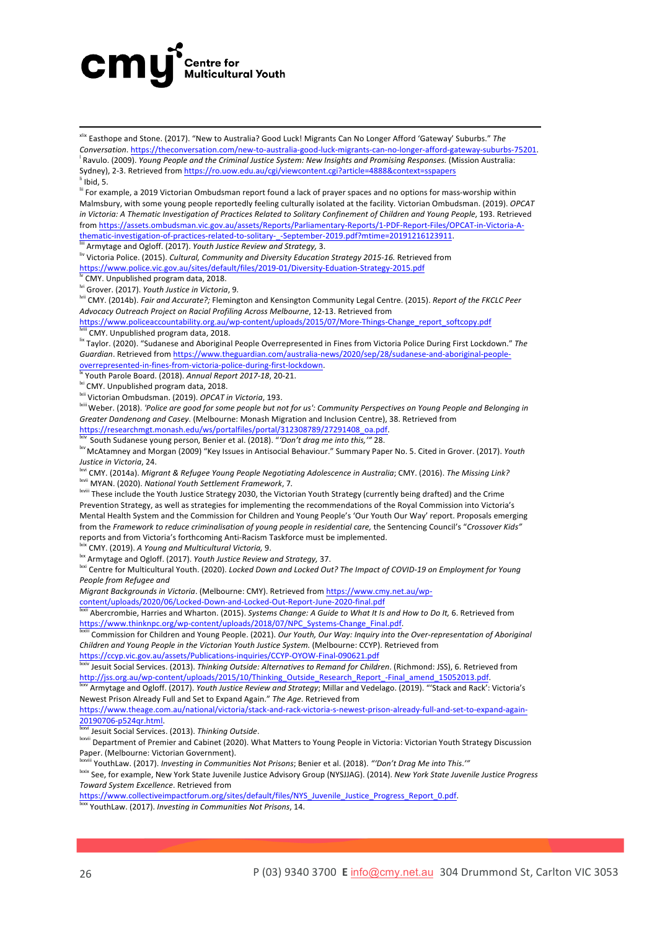### cmy<sup>®</sup> **Centre for<br>Multicultural Youth**

xlix Easthope and Stone. (2017). "New to Australia? Good Luck! Migrants Can No Longer Afford 'Gateway' Suburbs." The *Conversation*. https://theconversation.com/new-to-australia-good-luck-migrants-can-no-longer-afford-gateway-suburbs-75201. <sup>l</sup> Ravulo. (2009). *Young People and the Criminal Justice System: New Insights and Promising Responses. (Mission Australia:* Sydney), 2-3. Retrieved from https://ro.uow.edu.au/cgi/viewcontent.cgi?article=4888&context=sspapers  $^{\text{li}}$  Ibid, 5.

<u> 1989 - Jan Sarajević, politički predsjednik i politički predsjednik i politički politički politički političk</u>

<sup>iii</sup> For example, a 2019 Victorian Ombudsman report found a lack of prayer spaces and no options for mass-worship within Malmsbury, with some young people reportedly feeling culturally isolated at the facility. Victorian Ombudsman. (2019). OPCAT in Victoria: A Thematic Investigation of Practices Related to Solitary Confinement of Children and Young People, 193. Retrieved from https://assets.ombudsman.vic.gov.au/assets/Reports/Parliamentary-Reports/1-PDF-Report-Files/OPCAT-in-Victoria-Athematic-investigation-of-practices-related-to-solitary-\_-September-2019.pdf?mtime=20191216123911. 

liii Armytage and Ogloff. (2017). *Youth Justice Review and Strategy,* 3.

liv Victoria Police. (2015). *Cultural, Community and Diversity Education Strategy 2015-16.* Retrieved from https://www.police.vic.gov.au/sites/default/files/2019-01/Diversity-Eduation-Strategy-2015.pdf

<sup>Iv</sup> CMY. Unpublished program data, 2018.

<sup>i</sup> Grover. (2017). Youth Justice in Victoria, 9.

lvii CMY. (2014b). *Fair and Accurate?;* Flemington and Kensington Community Legal Centre. (2015). *Report of the FKCLC Peer* Advocacy Outreach Project on Racial Profiling Across Melbourne, 12-13. Retrieved from

https://www.policeaccountability.org.au/wp-content/uploads/2015/07/More-Things-Change\_report\_softcopy.pdf CMY. Unpublished program data, 2018.

lix Taylor. (2020). "Sudanese and Aboriginal People Overrepresented in Fines from Victoria Police During First Lockdown." The *Guardian*. Retrieved from https://www.theguardian.com/australia-news/2020/sep/28/sudanese-and-aboriginal-peopleoverrepresented-in-fines-from-victoria-police-during-first-lockdown.

Youth Parole Board. (2018). Annual Report 2017-18, 20-21.

<sup>lxi</sup> CMY. Unpublished program data, 2018.

<sup>Ixii</sup> Victorian Ombudsman. (2019). *OPCAT in Victoria*, 193.

<sup>kiii</sup> Weber. (2018). 'Police are good for some people but not for us': Community Perspectives on Young People and Belonging in Greater Dandenong and Casey. (Melbourne: Monash Migration and Inclusion Centre), 38. Retrieved from

https://researchmgt.monash.edu/ws/portalfiles/portal/312308789/27291408\_oa.pdf. South Sudanese young person, Benier et al. (2018). "'Don't drag me into this,'" 28.

<sup>kv</sup> McAtamney and Morgan (2009) "Key Issues in Antisocial Behaviour." Summary Paper No. 5. Cited in Grover. (2017). Youth *Justice in Victoria*, 24.

<sup>bxvi</sup> CMY. (2014a). *Migrant & Refugee Young People Negotiating Adolescence in Australia;* CMY. (2016). The Missing Link? lxvii MYAN. (2020). *National Youth Settlement Framework*, 7*.*

Ixvili These include the Youth Justice Strategy 2030, the Victorian Youth Strategy (currently being drafted) and the Crime Prevention Strategy, as well as strategies for implementing the recommendations of the Royal Commission into Victoria's Mental Health System and the Commission for Children and Young People's 'Our Youth Our Way' report. Proposals emerging from the *Framework to reduce criminalisation of young people in residential care, the Sentencing Council's "Crossover Kids"* reports and from Victoria's forthcoming Anti-Racism Taskforce must be implemented.

<sup>lxix</sup> CMY. (2019). A Young and Multicultural Victoria, 9.

<sup>bxx</sup> Armytage and Ogloff. (2017). *Youth Justice Review and Strategy,* 37.

<sup>lxxi</sup> Centre for Multicultural Youth. (2020). *Locked Down and Locked Out? The Impact of COVID-19* on Employment for Young *People from Refugee and*

*Migrant Backgrounds in Victoria.* (Melbourne: CMY). Retrieved from https://www.cmy.net.au/wp-

content/uploads/2020/06/Locked-Down-and-Locked-Out-Report-June-2020-final.pdf

Abercrombie, Harries and Wharton. (2015). Systems Change: A Guide to What It Is and How to Do It, 6. Retrieved from https://www.thinknpc.org/wp-content/uploads/2018/07/NPC\_Systems-Change\_Final.pdf. 

<sup>1</sup> Commission for Children and Young People. (2021). *Our Youth, Our Way: Inquiry into the Over-representation of Aboriginal Children and Young People in the Victorian Youth Justice System.* (Melbourne: CCYP). Retrieved from https://ccyp.vic.gov.au/assets/Publications-inquiries/CCYP-OYOW-Final-090621.pdf

 $^\prime$  Jesuit Social Services. (2013). *Thinking Outside: Alternatives to Remand for Children*. (Richmond: JSS), 6. Retrieved from http://jss.org.au/wp-content/uploads/2015/10/Thinking\_Outside\_Research\_Report\_-Final\_amend\_15052013.pdf

Armytage and Ogloff. (2017). *Youth Justice Review and Strategy*: Millar and Vedelago. (2019). "'Stack and Rack': Victoria's Newest Prison Already Full and Set to Expand Again." The Age. Retrieved from

https://www.theage.com.au/national/victoria/stack-and-rack-victoria-s-newest-prison-already-full-and-set-to-expand-again-20190706-p524qr.html. 

<sup>Ixxvi</sup> Jesuit Social Services. (2013). Thinking Outside.

lxxvii Department of Premier and Cabinet (2020). What Matters to Young People in Victoria: Victorian Youth Strategy Discussion Paper. (Melbourne: Victorian Government).

YouthLaw. (2017). Investing in Communities Not Prisons; Benier et al. (2018). "'Don't Drag Me into This.'"

Ixxix See, for example, New York State Juvenile Justice Advisory Group (NYSJJAG). (2014). New York State Juvenile Justice Progress *Toward System Excellence*. Retrieved from 

https://www.collectiveimpactforum.org/sites/default/files/NYS\_Juvenile\_Justice\_Progress\_Report\_0.pdf. YouthLaw. (2017). *Investing in Communities Not Prisons*, 14.